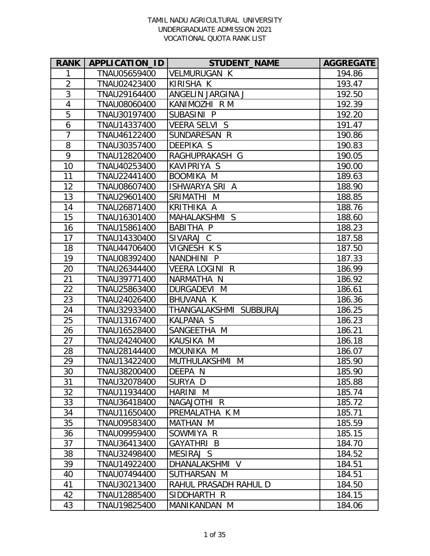| <b>RANK</b>    | APPLICATION_ID | <b>STUDENT_NAME</b>      | <b>AGGREGATE</b> |
|----------------|----------------|--------------------------|------------------|
| 1              | TNAU05659400   | <b>VELMURUGAN K</b>      | 194.86           |
| $\overline{2}$ | TNAU02423400   | <b>KIRISHA K</b>         | 193.47           |
| $\overline{3}$ | TNAU29164400   | ANGELIN JARGINA J        | 192.50           |
| $\overline{4}$ | TNAU08060400   | KANIMOZHI R M            | 192.39           |
| 5              | TNAU30197400   | SUBASINI P               | 192.20           |
| 6              | TNAU14337400   | <b>VEERA SELVI S</b>     | 191.47           |
| $\overline{7}$ | TNAU46122400   | SUNDARESAN R             | 190.86           |
| 8              | TNAU30357400   | <b>DEEPIKA S</b>         | 190.83           |
| 9              | TNAU12820400   | RAGHUPRAKASH G           | 190.05           |
| 10             | TNAU40253400   | KAVIPRIYA S              | 190.00           |
| 11             | TNAU22441400   | <b>BOOMIKA M</b>         | 189.63           |
| 12             | TNAU08607400   | <b>ISHWARYA SRI A</b>    | 188.90           |
| 13             | TNAU29601400   | SRIMATHI M               | 188.85           |
| 14             | TNAU26871400   | <b>KRITHIKA A</b>        | 188.76           |
| 15             | TNAU16301400   | MAHALAKSHMI S            | 188.60           |
| 16             | TNAU15861400   | <b>BABITHA P</b>         | 188.23           |
| 17             | TNAU14330400   | SIVARAJ C                | 187.58           |
| 18             | TNAU44706400   | VIGNESH K S              | 187.50           |
| 19             | TNAU08392400   | NANDHINI P               | 187.33           |
| 20             | TNAU26344400   | <b>VEERA LOGINI</b><br>R | 186.99           |
| 21             | TNAU39771400   | NARMATHA N               | 186.92           |
| 22             | TNAU25863400   | DURGADEVI M              | 186.61           |
| 23             | TNAU24026400   | <b>BHUVANA K</b>         | 186.36           |
| 24             | TNAU32933400   | THANGALAKSHMI SUBBURAJ   | 186.25           |
| 25             | TNAU13167400   | KALPANA S                | 186.23           |
| 26             | TNAU16528400   | SANGEETHA M              | 186.21           |
| 27             | TNAU24240400   | KAUSIKA M                | 186.18           |
| 28             | TNAU28144400   | MOUNIKA M                | 186.07           |
| 29             | TNAU13422400   | MUTHULAKSHMI M           | 185.90           |
| 30             | TNAU38200400   | DEEPA N                  | 185.90           |
| 31             | TNAU32078400   | SURYA D                  | 185.88           |
| 32             | TNAU11934400   | HARINI M                 | 185.74           |
| 33             | TNAU36418400   | NAGAJOTHI R              | 185.72           |
| 34             | TNAU11650400   | PREMALATHA K M           | 185.71           |
| 35             | TNAU09583400   | MATHAN M                 | 185.59           |
| 36             | TNAU09959400   | SOWMIYA R                | 185.15           |
| 37             | TNAU36413400   | <b>GAYATHRI B</b>        | 184.70           |
| 38             | TNAU32498400   | MESIRAJ S                | 184.52           |
| 39             | TNAU14922400   | DHANALAKSHMI V           | 184.51           |
| 40             | TNAU07494400   | SUTHARSAN M              | 184.51           |
| 41             | TNAU30213400   | RAHUL PRASADH RAHUL D    | 184.50           |
| 42             | TNAU12885400   | SIDDHARTH R              | 184.15           |
| 43             | TNAU19825400   | MANIKANDAN M             | 184.06           |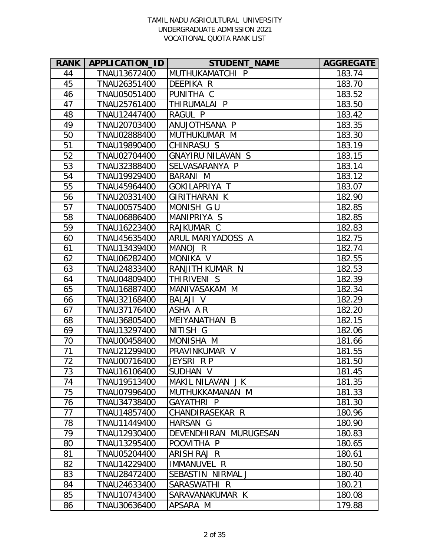| <b>RANK</b> | APPLICATION_ID | <b>STUDENT_NAME</b>      | <b>AGGREGATE</b> |
|-------------|----------------|--------------------------|------------------|
| 44          | TNAU13672400   | MUTHUKAMATCHI P          | 183.74           |
| 45          | TNAU26351400   | DEEPIKA R                | 183.70           |
| 46          | TNAU05051400   | PUNITHA C                | 183.52           |
| 47          | TNAU25761400   | THIRUMALAI P             | 183.50           |
| 48          | TNAU12447400   | RAGUL P                  | 183.42           |
| 49          | TNAU20703400   | ANUJOTHSANA P            | 183.35           |
| 50          | TNAU02888400   | MUTHUKUMAR M             | 183.30           |
| 51          | TNAU19890400   | CHINRASU S               | 183.19           |
| 52          | TNAU02704400   | <b>GNAYIRU NILAVAN S</b> | 183.15           |
| 53          | TNAU32388400   | SELVASARANYA P           | 183.14           |
| 54          | TNAU19929400   | <b>BARANI M</b>          | 183.12           |
| 55          | TNAU45964400   | GOKILAPRIYA T            | 183.07           |
| 56          | TNAU20331400   | GIRITHARAN K             | 182.90           |
| 57          | TNAU00575400   | MONISH GU                | 182.85           |
| 58          | TNAU06886400   | MANIPRIYA S              | 182.85           |
| 59          | TNAU16223400   | RAJKUMAR C               | 182.83           |
| 60          | TNAU45635400   | ARUL MARIYADOSS A        | 182.75           |
| 61          | TNAU13439400   | MANOJ R                  | 182.74           |
| 62          | TNAU06282400   | MONIKA V                 | 182.55           |
| 63          | TNAU24833400   | RANJITH KUMAR N          | 182.53           |
| 64          | TNAU04809400   | THIRIVENI S              | 182.39           |
| 65          | TNAU16887400   | MANIVASAKAM M            | 182.34           |
| 66          | TNAU32168400   | <b>BALAJI V</b>          | 182.29           |
| 67          | TNAU37176400   | ASHA AR                  | 182.20           |
| 68          | TNAU36805400   | MEIYANATHAN B            | 182.15           |
| 69          | TNAU13297400   | NITISH G                 | 182.06           |
| 70          | TNAU00458400   | MONISHA M                | 181.66           |
| 71          | TNAU21299400   | PRAVINKUMAR V            | 181.55           |
| 72          | TNAU00716400   | JEYSRI R P               | 181.50           |
| 73          | TNAU16106400   | SUDHAN V                 | 181.45           |
| 74          | TNAU19513400   | MAKIL NILAVAN J K        | 181.35           |
| 75          | TNAU07996400   | MUTHUKKAMANAN M          | 181.33           |
| 76          | TNAU34738400   | GAYATHRI P               | 181.30           |
| 77          | TNAU14857400   | CHANDIRASEKAR R          | 180.96           |
| 78          | TNAU11449400   | HARSAN G                 | 180.90           |
| 79          | TNAU12930400   | DEVENDHIRAN MURUGESAN    | 180.83           |
| 80          | TNAU13295400   | POOVITHA P               | 180.65           |
| 81          | TNAU05204400   | ARISH RAJ R              | 180.61           |
| 82          | TNAU14229400   | <b>IMMANUVEL R</b>       | 180.50           |
| 83          | TNAU28472400   | SEBASTIN NIRMAL J        | 180.40           |
| 84          | TNAU24633400   | SARASWATHI R             | 180.21           |
| 85          | TNAU10743400   | SARAVANAKUMAR K          | 180.08           |
| 86          | TNAU30636400   | APSARA M                 | 179.88           |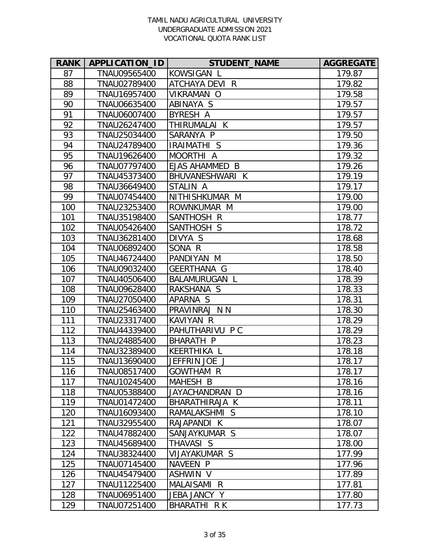| <b>RANK</b> | APPLICATION_ID | <b>STUDENT_NAME</b>  | <b>AGGREGATE</b> |
|-------------|----------------|----------------------|------------------|
| 87          | TNAU09565400   | KOWSIGAN L           | 179.87           |
| 88          | TNAU02789400   | ATCHAYA DEVI R       | 179.82           |
| 89          | TNAU16957400   | VIKRAMAN O           | 179.58           |
| 90          | TNAU06635400   | ABINAYA S            | 179.57           |
| 91          | TNAU06007400   | BYRESH A             | 179.57           |
| 92          | TNAU26247400   | THIRUMALAI K         | 179.57           |
| 93          | TNAU25034400   | SARANYA P            | 179.50           |
| 94          | TNAU24789400   | IRAIMATHI S          | 179.36           |
| 95          | TNAU19626400   | MOORTHI A            | 179.32           |
| 96          | TNAU07797400   | EJAS AHAMMED B       | 179.26           |
| 97          | TNAU45373400   | BHUVANESHWARI K      | 179.19           |
| 98          | TNAU36649400   | STALIN A             | 179.17           |
| 99          | TNAU07454400   | NITHISHKUMAR M       | 179.00           |
| 100         | TNAU23253400   | ROWNKUMAR M          | 179.00           |
| 101         | TNAU35198400   | SANTHOSH R           | 178.77           |
| 102         | TNAU05426400   | SANTHOSH S           | 178.72           |
| 103         | TNAU36281400   | DIVYA S              | 178.68           |
| 104         | TNAU06892400   | SONA R               | 178.58           |
| 105         | TNAU46724400   | PANDIYAN M           | 178.50           |
| 106         | TNAU09032400   | GEERTHANA G          | 178.40           |
| 107         | TNAU40506400   | <b>BALAMURUGAN L</b> | 178.39           |
| 108         | TNAU09628400   | RAKSHANA S           | 178.33           |
| 109         | TNAU27050400   | APARNA S             | 178.31           |
| 110         | TNAU25463400   | PRAVINRAJ N N        | 178.30           |
| 111         | TNAU23317400   | <b>KAVIYAN R</b>     | 178.29           |
| 112         | TNAU44339400   | PAHUTHARIVU P C      | 178.29           |
| 113         | TNAU24885400   | <b>BHARATH P</b>     | 178.23           |
| 114         | TNAU32389400   | KEERTHIKA L          | 178.18           |
| 115         | TNAU13690400   | JEFFRIN JOE J        | 178.17           |
| 116         | TNAU08517400   | <b>GOWTHAM R</b>     | 178.17           |
| 117         | TNAU10245400   | MAHESH B             | 178.16           |
| 118         | TNAU05388400   | JAYACHANDRAN D       | 178.16           |
| 119         | TNAU01472400   | BHARATHIRAJA K       | 178.11           |
| 120         | TNAU16093400   | RAMALAKSHMI S        | 178.10           |
| 121         | TNAU32955400   | RAJAPANDI K          | 178.07           |
| 122         | TNAU47882400   | SANJAYKUMAR S        | 178.07           |
| 123         | TNAU45689400   | THAVASI S            | 178.00           |
| 124         | TNAU38324400   | VIJAYAKUMAR S        | 177.99           |
| 125         | TNAU07145400   | NAVEEN P             | 177.96           |
| 126         | TNAU45479400   | <b>ASHWIN V</b>      | 177.89           |
| 127         | TNAU11225400   | MALAISAMI<br>R.      | 177.81           |
| 128         | TNAU06951400   | JEBA JANCY Y         | 177.80           |
| 129         | TNAU07251400   | BHARATHI R K         | 177.73           |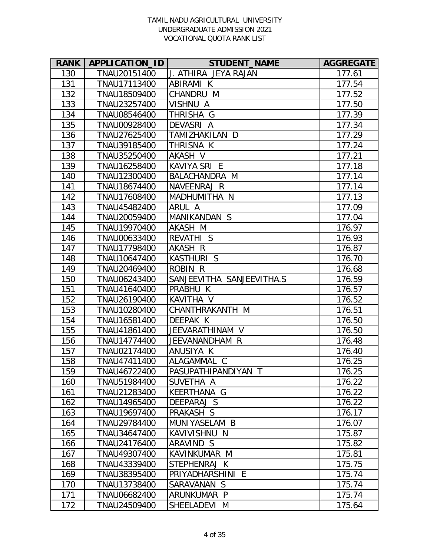| <b>RANK</b> | APPLICATION_ID | <b>STUDENT_NAME</b>       | <b>AGGREGATE</b> |
|-------------|----------------|---------------------------|------------------|
| 130         | TNAU20151400   | J. ATHIRA JEYA RAJAN      | 177.61           |
| 131         | TNAU17113400   | ABIRAMI K                 | 177.54           |
| 132         | TNAU18509400   | CHANDRU M                 | 177.52           |
| 133         | TNAU23257400   | VISHNU A                  | 177.50           |
| 134         | TNAU08546400   | THRISHA G                 | 177.39           |
| 135         | TNAU00928400   | DEVASRI A                 | 177.34           |
| 136         | TNAU27625400   | TAMIZHAKILAN D            | 177.29           |
| 137         | TNAU39185400   | THRISNA K                 | 177.24           |
| 138         | TNAU35250400   | AKASH V                   | 177.21           |
| 139         | TNAU16258400   | KAVIYA SRI E              | 177.18           |
| 140         | TNAU12300400   | BALACHANDRA M             | 177.14           |
| 141         | TNAU18674400   | NAVEENRAJ R               | 177.14           |
| 142         | TNAU17608400   | MADHUMITHA N              | 177.13           |
| 143         | TNAU45482400   | ARUL A                    | 177.09           |
| 144         | TNAU20059400   | MANIKANDAN S              | 177.04           |
| 145         | TNAU19970400   | AKASH M                   | 176.97           |
| 146         | TNAU00633400   | <b>REVATHI S</b>          | 176.93           |
| 147         | TNAU17798400   | AKASH R                   | 176.87           |
| 148         | TNAU10647400   | <b>KASTHURI S</b>         | 176.70           |
| 149         | TNAU20469400   | <b>ROBIN R</b>            | 176.68           |
| 150         | TNAU06243400   | SANJEEVITHA SANJEEVITHA.S | 176.59           |
| 151         | TNAU41640400   | PRABHU K                  | 176.57           |
| 152         | TNAU26190400   | KAVITHA V                 | 176.52           |
| 153         | TNAU10280400   | CHANTHRAKANTH M           | 176.51           |
| 154         | TNAU16581400   | DEEPAK K                  | 176.50           |
| 155         | TNAU41861400   | JEEVARATHINAM V           | 176.50           |
| 156         | TNAU14774400   | JEEVANANDHAM R            | 176.48           |
| 157         | TNAU02174400   | ANUSIYA K                 | 176.40           |
| 158         | TNAU47411400   | ALAGAMMAL C               | 176.25           |
| 159         | TNAU46722400   | PASUPATHIPANDIYAN T       | 176.25           |
| 160         | TNAU51984400   | SUVETHA A                 | 176.22           |
| 161         | TNAU21283400   | KEERTHANA G               | 176.22           |
| 162         | TNAU14965400   | DEEPARAJ S                | 176.22           |
| 163         | TNAU19697400   | PRAKASH S                 | 176.17           |
| 164         | TNAU29784400   | MUNIYASELAM B             | 176.07           |
| 165         | TNAU34647400   | KAVIVISHNU N              | 175.87           |
| 166         | TNAU24176400   | ARAVIND S                 | 175.82           |
| 167         | TNAU49307400   | KAVINKUMAR M              | 175.81           |
| 168         | TNAU43339400   | STEPHENRAJ K              | 175.75           |
| 169         | TNAU38395400   | PRIYADHARSHINI E          | 175.74           |
| 170         | TNAU13738400   | SARAVANAN S               | 175.74           |
| 171         | TNAU06682400   | ARUNKUMAR P               | 175.74           |
| 172         | TNAU24509400   | SHEELADEVI M              | 175.64           |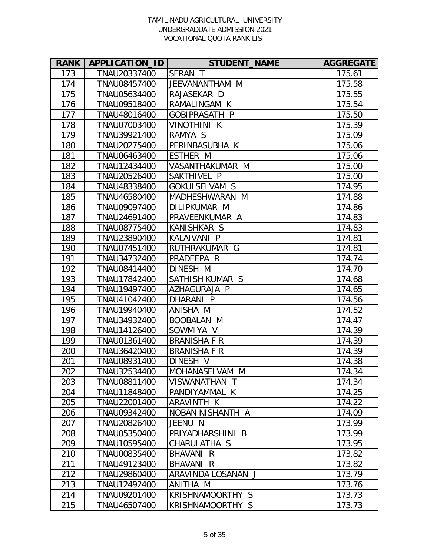| <b>RANK</b> | APPLICATION_ID | <b>STUDENT_NAME</b> | <b>AGGREGATE</b> |
|-------------|----------------|---------------------|------------------|
| 173         | TNAU20337400   | SERAN T             | 175.61           |
| 174         | TNAU08457400   | JEEVANANTHAM M      | 175.58           |
| 175         | TNAU05634400   | RAJASEKAR D         | 175.55           |
| 176         | TNAU09518400   | RAMALINGAM K        | 175.54           |
| 177         | TNAU48016400   | GOBIPRASATH P       | 175.50           |
| 178         | TNAU07003400   | <b>VINOTHINI K</b>  | 175.39           |
| 179         | TNAU39921400   | RAMYA S             | 175.09           |
| 180         | TNAU20275400   | PERINBASUBHA K      | 175.06           |
| 181         | TNAU06463400   | <b>ESTHER M</b>     | 175.06           |
| 182         | TNAU12434400   | VASANTHAKUMAR M     | 175.00           |
| 183         | TNAU20526400   | SAKTHIVEL P         | 175.00           |
| 184         | TNAU48338400   | GOKULSELVAM S       | 174.95           |
| 185         | TNAU46580400   | MADHESHWARAN M      | 174.88           |
| 186         | TNAU09097400   | DILIPKUMAR M        | 174.86           |
| 187         | TNAU24691400   | PRAVEENKUMAR A      | 174.83           |
| 188         | TNAU08775400   | KANISHKAR S         | 174.83           |
| 189         | TNAU23890400   | KALAIVANI P         | 174.81           |
| 190         | TNAU07451400   | RUTHRAKUMAR G       | 174.81           |
| 191         | TNAU34732400   | PRADEEPA R          | 174.74           |
| 192         | TNAU08414400   | DINESH M            | 174.70           |
| 193         | TNAU17842400   | SATHISH KUMAR S     | 174.68           |
| 194         | TNAU19497400   | AZHAGURAJA P        | 174.65           |
| 195         | TNAU41042400   | DHARANI P           | 174.56           |
| 196         | TNAU19940400   | ANISHA M            | 174.52           |
| 197         | TNAU34932400   | BOOBALAN M          | 174.47           |
| 198         | TNAU14126400   | SOWMIYA V           | 174.39           |
| 199         | TNAU01361400   | <b>BRANISHAFR</b>   | 174.39           |
| 200         | TNAU36420400   | <b>BRANISHA F R</b> | 174.39           |
| 201         | TNAU08931400   | DINESH V            | 174.38           |
| 202         | TNAU32534400   | MOHANASELVAM M      | 174.34           |
| 203         | TNAU08811400   | VISWANATHAN T       | 174.34           |
| 204         | TNAU11848400   | PANDIYAMMAL K       | 174.25           |
| 205         | TNAU22001400   | ARAVINTH K          | 174.22           |
| 206         | TNAU09342400   | NOBAN NISHANTH A    | 174.09           |
| 207         | TNAU20826400   | JEENU N             | 173.99           |
| 208         | TNAU05350400   | PRIYADHARSHINI B    | 173.99           |
| 209         | TNAU10595400   | CHARULATHA S        | 173.95           |
| 210         | TNAU00835400   | BHAVANI R           | 173.82           |
| 211         | TNAU49123400   | BHAVANI R           | 173.82           |
| 212         | TNAU29860400   | ARAVINDA LOSANAN J  | 173.79           |
| 213         | TNAU12492400   | ANITHA M            | 173.76           |
| 214         | TNAU09201400   | KRISHNAMOORTHY S    | 173.73           |
| 215         | TNAU46507400   | KRISHNAMOORTHY S    | 173.73           |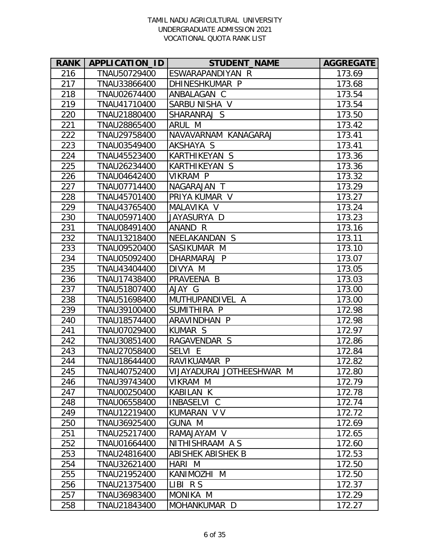| <b>RANK</b> | APPLICATION_ID | <b>STUDENT_NAME</b>       | <b>AGGREGATE</b> |
|-------------|----------------|---------------------------|------------------|
| 216         | TNAU50729400   | ESWARAPANDIYAN R          | 173.69           |
| 217         | TNAU33866400   | DHINESHKUMAR P            | 173.68           |
| 218         | TNAU02674400   | ANBALAGAN C               | 173.54           |
| 219         | TNAU41710400   | SARBU NISHA V             | 173.54           |
| 220         | TNAU21880400   | SHARANRAJ S               | 173.50           |
| 221         | TNAU28865400   | ARUL M                    | 173.42           |
| 222         | TNAU29758400   | NAVAVARNAM KANAGARAJ      | 173.41           |
| 223         | TNAU03549400   | AKSHAYA S                 | 173.41           |
| 224         | TNAU45523400   | KARTHIKEYAN S             | 173.36           |
| 225         | TNAU26234400   | KARTHIKEYAN S             | 173.36           |
| 226         | TNAU04642400   | VIKRAM P                  | 173.32           |
| 227         | TNAU07714400   | NAGARAJAN T               | 173.29           |
| 228         | TNAU45701400   | PRIYA KUMAR V             | 173.27           |
| 229         | TNAU43765400   | MALAVIKA V                | 173.24           |
| 230         | TNAU05971400   | JAYASURYA D               | 173.23           |
| 231         | TNAU08491400   | ANAND R                   | 173.16           |
| 232         | TNAU13218400   | NEELAKANDAN S             | 173.11           |
| 233         | TNAU09520400   | SASIKUMAR M               | 173.10           |
| 234         | TNAU05092400   | DHARMARAJ P               | 173.07           |
| 235         | TNAU43404400   | DIVYA M                   | 173.05           |
| 236         | TNAU17438400   | PRAVEENA B                | 173.03           |
| 237         | TNAU51807400   | AJAY G                    | 173.00           |
| 238         | TNAU51698400   | MUTHUPANDIVEL A           | 173.00           |
| 239         | TNAU39100400   | SUMITHIRA P               | 172.98           |
| 240         | TNAU18574400   | ARAVINDHAN P              | 172.98           |
| 241         | TNAU07029400   | KUMAR S                   | 172.97           |
| 242         | TNAU30851400   | RAGAVENDAR S              | 172.86           |
| 243         | TNAU27058400   | SELVI E                   | 172.84           |
| 244         | TNAU18644400   | RAVIKUAMAR P              | 172.82           |
| 245         | TNAU40752400   | VIJAYADURAI JOTHEESHWAR M | 172.80           |
| 246         | TNAU39743400   | VIKRAM M                  | 172.79           |
| 247         | TNAU00250400   | KABILAN K                 | 172.78           |
| 248         | TNAU06558400   | INBASELVI C               | 172.74           |
| 249         | TNAU12219400   | KUMARAN V V               | 172.72           |
| 250         | TNAU36925400   | <b>GUNA M</b>             | 172.69           |
| 251         | TNAU25217400   | RAMAJAYAM V               | 172.65           |
| 252         | TNAU01664400   | NITHISHRAAM AS            | 172.60           |
| 253         | TNAU24816400   | ABISHEK ABISHEK B         | 172.53           |
| 254         | TNAU32621400   | HARI M                    | 172.50           |
| 255         | TNAU21952400   | KANIMOZHI M               | 172.50           |
| 256         | TNAU21375400   | LIBI RS                   | 172.37           |
| 257         | TNAU36983400   | MONIKA M                  | 172.29           |
| 258         | TNAU21843400   | MOHANKUMAR D              | 172.27           |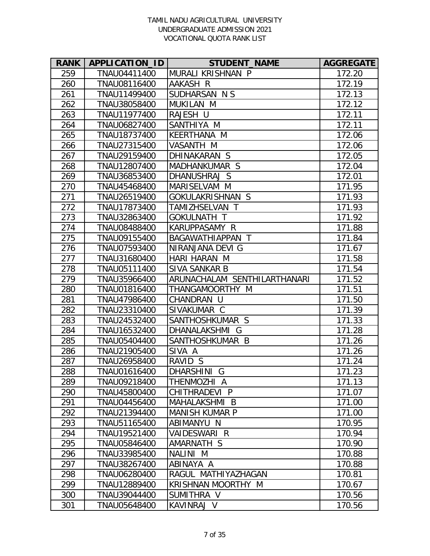| <b>RANK</b> | APPLICATION_ID | <b>STUDENT_NAME</b>          | <b>AGGREGATE</b> |
|-------------|----------------|------------------------------|------------------|
| 259         | TNAU04411400   | MURALI KRISHNAN P            | 172.20           |
| 260         | TNAU08116400   | AAKASH R                     | 172.19           |
| 261         | TNAU11499400   | SUDHARSAN N S                | 172.13           |
| 262         | TNAU38058400   | MUKILAN M                    | 172.12           |
| 263         | TNAU11977400   | RAJESH U                     | 172.11           |
| 264         | TNAU06827400   | SANTHIYA M                   | 172.11           |
| 265         | TNAU18737400   | KEERTHANA M                  | 172.06           |
| 266         | TNAU27315400   | VASANTH M                    | 172.06           |
| 267         | TNAU29159400   | DHINAKARAN S                 | 172.05           |
| 268         | TNAU12807400   | MADHANKUMAR S                | 172.04           |
| 269         | TNAU36853400   | DHANUSHRAJ S                 | 172.01           |
| 270         | TNAU45468400   | MARISELVAM M                 | 171.95           |
| 271         | TNAU26519400   | GOKULAKRISHNAN S             | 171.93           |
| 272         | TNAU17873400   | TAMIZHSELVAN T               | 171.93           |
| 273         | TNAU32863400   | GOKULNATH T                  | 171.92           |
| 274         | TNAU08488400   | KARUPPASAMY R                | 171.88           |
| 275         | TNAU09155400   | BAGAWATHIAPPAN T             | 171.84           |
| 276         | TNAU07593400   | NIRANJANA DEVI G             | 171.67           |
| 277         | TNAU31680400   | HARI HARAN M                 | 171.58           |
| 278         | TNAU05111400   | SIVA SANKAR B                | 171.54           |
| 279         | TNAU35966400   | ARUNACHALAM SENTHILARTHANARI | 171.52           |
| 280         | TNAU01816400   | THANGAMOORTHY M              | 171.51           |
| 281         | TNAU47986400   | CHANDRAN U                   | 171.50           |
| 282         | TNAU23310400   | SIVAKUMAR C                  | 171.39           |
| 283         | TNAU24532400   | SANTHOSHKUMAR S              | 171.33           |
| 284         | TNAU16532400   | DHANALAKSHMI G               | 171.28           |
| 285         | TNAU05404400   | SANTHOSHKUMAR B              | 171.26           |
| 286         | TNAU21905400   | SIVA A                       | 171.26           |
| 287         | TNAU26958400   | RAVID S                      | 171.24           |
| 288         | TNAU01616400   | DHARSHINI G                  | 171.23           |
| 289         | TNAU09218400   | THENMOZHI A                  | 171.13           |
| 290         | TNAU45800400   | CHITHRADEVI P                | 171.07           |
| 291         | TNAU04456400   | MAHALAKSHMI B                | 171.00           |
| 292         | TNAU21394400   | <b>MANISH KUMAR P</b>        | 171.00           |
| 293         | TNAU51165400   | ABIMANYU N                   | 170.95           |
| 294         | TNAU19521400   | VAIDESWARI R                 | 170.94           |
| 295         | TNAU05846400   | AMARNATH S                   | 170.90           |
| 296         | TNAU33985400   | NALINI M                     | 170.88           |
| 297         | TNAU38267400   | ABINAYA A                    | 170.88           |
| 298         | TNAU06280400   | RAGUL MATHIYAZHAGAN          | 170.81           |
| 299         | TNAU12889400   | KRISHNAN MOORTHY M           | 170.67           |
| 300         | TNAU39044400   | SUMITHRA V                   | 170.56           |
| 301         | TNAU05648400   | KAVINRAJ V                   | 170.56           |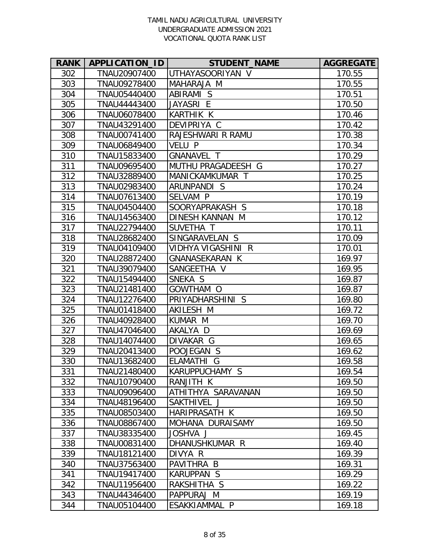| <b>RANK</b> | APPLICATION_ID | <b>STUDENT_NAME</b>    | <b>AGGREGATE</b> |
|-------------|----------------|------------------------|------------------|
| 302         | TNAU20907400   | UTHAYASOORIYAN V       | 170.55           |
| 303         | TNAU09278400   | MAHARAJA M             | 170.55           |
| 304         | TNAU05440400   | ABIRAMI S              | 170.51           |
| 305         | TNAU44443400   | JAYASRI E              | 170.50           |
| 306         | TNAU06078400   | <b>KARTHIK K</b>       | 170.46           |
| 307         | TNAU43291400   | DEVIPRIYA C            | 170.42           |
| 308         | TNAU00741400   | RAJESHWARI R RAMU      | 170.38           |
| 309         | TNAU06849400   | <b>VELU P</b>          | 170.34           |
| 310         | TNAU15833400   | <b>GNANAVEL T</b>      | 170.29           |
| 311         | TNAU09695400   | MUTHU PRAGADEESH G     | 170.27           |
| 312         | TNAU32889400   | MANICKAMKUMAR T        | 170.25           |
| 313         | TNAU02983400   | ARUNPANDI S            | 170.24           |
| 314         | TNAU07613400   | SELVAM P               | 170.19           |
| 315         | TNAU04504400   | SOORYAPRAKASH S        | 170.18           |
| 316         | TNAU14563400   | <b>DINESH KANNAN M</b> | 170.12           |
| 317         | TNAU22794400   | SUVETHA T              | 170.11           |
| 318         | TNAU28682400   | SINGARAVELAN S         | 170.09           |
| 319         | TNAU04109400   | VIDHYA VIGASHINI R     | 170.01           |
| 320         | TNAU28872400   | <b>GNANASEKARAN K</b>  | 169.97           |
| 321         | TNAU39079400   | SANGEETHA V            | 169.95           |
| 322         | TNAU15494400   | SNEKA S                | 169.87           |
| 323         | TNAU21481400   | GOWTHAM O              | 169.87           |
| 324         | TNAU12276400   | PRIYADHARSHINI S       | 169.80           |
| 325         | TNAU01418400   | AKILESH M              | 169.72           |
| 326         | TNAU40928400   | KUMAR M                | 169.70           |
| 327         | TNAU47046400   | AKALYA D               | 169.69           |
| 328         | TNAU14074400   | DIVAKAR G              | 169.65           |
| 329         | TNAU20413400   | POOJEGAN S             | 169.62           |
| 330         | TNAU13682400   | ELAMATHI G             | 169.58           |
| 331         | TNAU21480400   | KARUPPUCHAMY S         | 169.54           |
| 332         | TNAU10790400   | RANJITH K              | 169.50           |
| 333         | TNAU09096400   | ATHITHYA SARAVANAN     | 169.50           |
| 334         | TNAU48196400   | SAKTHIVEL J            | 169.50           |
| 335         | TNAU08503400   | <b>HARIPRASATH K</b>   | 169.50           |
| 336         | TNAU08867400   | MOHANA DURAISAMY       | 169.50           |
| 337         | TNAU38335400   | JOSHVA J               | 169.45           |
| 338         | TNAU00831400   | DHANUSHKUMAR R         | 169.40           |
| 339         | TNAU18121400   | DIVYA R                | 169.39           |
| 340         | TNAU37563400   | PAVITHRA B             | 169.31           |
| 341         | TNAU19417400   | <b>KARUPPAN S</b>      | 169.29           |
| 342         | TNAU11956400   | RAKSHITHA S            | 169.22           |
| 343         | TNAU44346400   | PAPPURAJ M             | 169.19           |
| 344         | TNAU05104400   | ESAKKIAMMAL P          | 169.18           |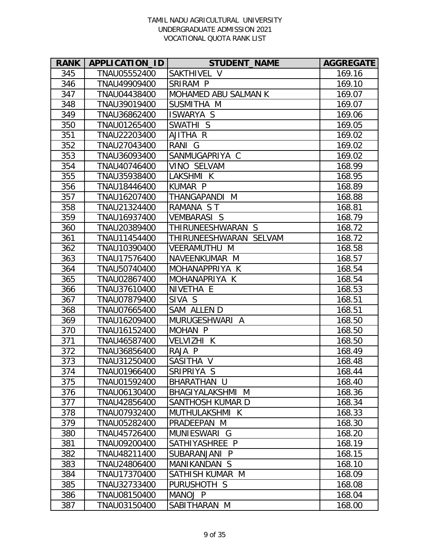| <b>RANK</b> | APPLICATION_ID | <b>STUDENT_NAME</b>    | <b>AGGREGATE</b> |
|-------------|----------------|------------------------|------------------|
| 345         | TNAU05552400   | SAKTHIVEL V            | 169.16           |
| 346         | TNAU49909400   | SRIRAM P               | 169.10           |
| 347         | TNAU04438400   | MOHAMED ABU SALMAN K   | 169.07           |
| 348         | TNAU39019400   | SUSMITHA M             | 169.07           |
| 349         | TNAU36862400   | <b>ISWARYA S</b>       | 169.06           |
| 350         | TNAU01265400   | SWATHI S               | 169.05           |
| 351         | TNAU22203400   | AJITHA R               | 169.02           |
| 352         | TNAU27043400   | RANI G                 | 169.02           |
| 353         | TNAU36093400   | SANMUGAPRIYA C         | 169.02           |
| 354         | TNAU40746400   | VINO SELVAM            | 168.99           |
| 355         | TNAU35938400   | LAKSHMI K              | 168.95           |
| 356         | TNAU18446400   | <b>KUMAR P</b>         | 168.89           |
| 357         | TNAU16207400   | THANGAPANDI M          | 168.88           |
| 358         | TNAU21324400   | RAMANA ST              | 168.81           |
| 359         | TNAU16937400   | <b>VEMBARASI S</b>     | 168.79           |
| 360         | TNAU20389400   | THIRUNEESHWARAN S      | 168.72           |
| 361         | TNAU11454400   | THIRUNEESHWARAN SELVAM | 168.72           |
| 362         | TNAU10390400   | VEERAMUTHU M           | 168.58           |
| 363         | TNAU17576400   | NAVEENKUMAR M          | 168.57           |
| 364         | TNAU50740400   | MOHANAPPRIYA K         | 168.54           |
| 365         | TNAU02867400   | MOHANAPRIYA K          | 168.54           |
| 366         | TNAU37610400   | NIVETHA E              | 168.53           |
| 367         | TNAU07879400   | SIVA S                 | 168.51           |
| 368         | TNAU07665400   | SAM ALLEN D            | 168.51           |
| 369         | TNAU16209400   | MURUGESHWARI A         | 168.50           |
| 370         | TNAU16152400   | MOHAN P                | 168.50           |
| 371         | TNAU46587400   | VELVIZHI K             | 168.50           |
| 372         | TNAU36856400   | RAJA P                 | 168.49           |
| 373         | TNAU31250400   | SASITHA V              | 168.48           |
| 374         | TNAU01966400   | SRIPRIYA S             | 168.44           |
| 375         | TNAU01592400   | BHARATHAN U            | 168.40           |
| 376         | TNAU06130400   | BHAGIYALAKSHMI M       | 168.36           |
| 377         | TNAU42856400   | SANTHOSH KUMAR D       | 168.34           |
| 378         | TNAU07932400   | MUTHULAKSHMI K         | 168.33           |
| 379         | TNAU05282400   | PRADEEPAN M            | 168.30           |
| 380         | TNAU45726400   | MUNIESWARI G           | 168.20           |
| 381         | TNAU09200400   | SATHIYASHREE P         | 168.19           |
| 382         | TNAU48211400   | SUBARANJANI P          | 168.15           |
| 383         | TNAU24806400   | MANIKANDAN S           | 168.10           |
| 384         | TNAU17370400   | SATHISH KUMAR M        | 168.09           |
| 385         | TNAU32733400   | PURUSHOTH S            | 168.08           |
| 386         | TNAU08150400   | MANOJ P                | 168.04           |
| 387         | TNAU03150400   | SABITHARAN M           | 168.00           |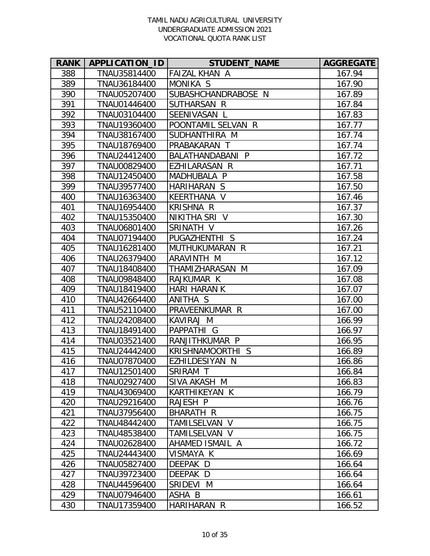| <b>RANK</b> | APPLICATION_ID | <b>STUDENT_NAME</b>  | <b>AGGREGATE</b> |
|-------------|----------------|----------------------|------------------|
| 388         | TNAU35814400   | <b>FAIZAL KHAN A</b> | 167.94           |
| 389         | TNAU36184400   | MONIKA S             | 167.90           |
| 390         | TNAU05207400   | SUBASHCHANDRABOSE N  | 167.89           |
| 391         | TNAU01446400   | SUTHARSAN R          | 167.84           |
| 392         | TNAU03104400   | SEENIVASAN L         | 167.83           |
| 393         | TNAU19360400   | POONTAMIL SELVAN R   | 167.77           |
| 394         | TNAU38167400   | SUDHANTHIRA M        | 167.74           |
| 395         | TNAU18769400   | PRABAKARAN T         | 167.74           |
| 396         | TNAU24412400   | BALATHANDABANI P     | 167.72           |
| 397         | TNAU00829400   | EZHILARASAN R        | 167.71           |
| 398         | TNAU12450400   | MADHUBALA P          | 167.58           |
| 399         | TNAU39577400   | HARIHARAN S          | 167.50           |
| 400         | TNAU16363400   | KEERTHANA V          | 167.46           |
| 401         | TNAU16954400   | <b>KRISHNA R</b>     | 167.37           |
| 402         | TNAU15350400   | NIKITHA SRI V        | 167.30           |
| 403         | TNAU06801400   | SRINATH V            | 167.26           |
| 404         | TNAU07194400   | PUGAZHENTHI S        | 167.24           |
| 405         | TNAU16281400   | MUTHUKUMARAN R       | 167.21           |
| 406         | TNAU26379400   | ARAVINTH M           | 167.12           |
| 407         | TNAU18408400   | THAMIZHARASAN M      | 167.09           |
| 408         | TNAU09848400   | RAJKUMAR K           | 167.08           |
| 409         | TNAU18419400   | <b>HARI HARAN K</b>  | 167.07           |
| 410         | TNAU42664400   | ANITHA S             | 167.00           |
| 411         | TNAU52110400   | PRAVEENKUMAR R       | 167.00           |
| 412         | TNAU24208400   | KAVIRAJ M            | 166.99           |
| 413         | TNAU18491400   | PAPPATHI G           | 166.97           |
| 414         | TNAU03521400   | RANJITHKUMAR P       | 166.95           |
| 415         | TNAU24442400   | KRISHNAMOORTHI S     | 166.89           |
| 416         | TNAU07870400   | EZHILDESIYAN N       | 166.86           |
| 417         | TNAU12501400   | SRIRAM T             | 166.84           |
| 418         | TNAU02927400   | SIVA AKASH M         | 166.83           |
| 419         | TNAU43069400   | KARTHIKEYAN K        | 166.79           |
| 420         | TNAU29216400   | RAJESH P             | 166.76           |
| 421         | TNAU37956400   | BHARATH R            | 166.75           |
| 422         | TNAU48442400   | TAMILSELVAN V        | 166.75           |
| 423         | TNAU48538400   | TAMILSELVAN V        | 166.75           |
| 424         | TNAU02628400   | AHAMED ISMAIL A      | 166.72           |
| 425         | TNAU24443400   | VISMAYA K            | 166.69           |
| 426         | TNAU05827400   | DEEPAK D             | 166.64           |
| 427         | TNAU39723400   | DEEPAK D             | 166.64           |
| 428         | TNAU44596400   | SRIDEVI M            | 166.64           |
| 429         | TNAU07946400   | ASHA B               | 166.61           |
| 430         | TNAU17359400   | HARIHARAN R          | 166.52           |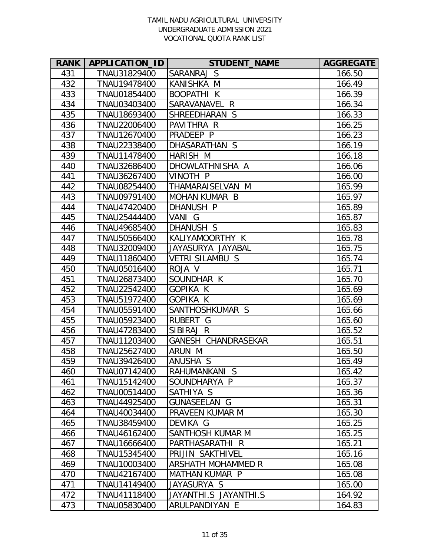| <b>RANK</b> | APPLICATION_ID | <b>STUDENT_NAME</b>    | <b>AGGREGATE</b> |
|-------------|----------------|------------------------|------------------|
| 431         | TNAU31829400   | SARANRAJ S             | 166.50           |
| 432         | TNAU19478400   | KANISHKA M             | 166.49           |
| 433         | TNAU01854400   | <b>BOOPATHI K</b>      | 166.39           |
| 434         | TNAU03403400   | SARAVANAVEL<br>R       | 166.34           |
| 435         | TNAU18693400   | SHREEDHARAN S          | 166.33           |
| 436         | TNAU22006400   | PAVITHRA R             | 166.25           |
| 437         | TNAU12670400   | PRADEEP P              | 166.23           |
| 438         | TNAU22338400   | DHASARATHAN S          | 166.19           |
| 439         | TNAU11478400   | <b>HARISH M</b>        | 166.18           |
| 440         | TNAU32686400   | DHOWLATHNISHA A        | 166.06           |
| 441         | TNAU36267400   | VINOTH P               | 166.00           |
| 442         | TNAU08254400   | THAMARAISELVAN M       | 165.99           |
| 443         | TNAU09791400   | <b>MOHAN KUMAR B</b>   | 165.97           |
| 444         | TNAU47420400   | DHANUSH P              | 165.89           |
| 445         | TNAU25444400   | VANI G                 | 165.87           |
| 446         | TNAU49685400   | DHANUSH S              | 165.83           |
| 447         | TNAU50566400   | KALIYAMOORTHY K        | 165.78           |
| 448         | TNAU32009400   | JAYASURYA JAYABAL      | 165.75           |
| 449         | TNAU11860400   | <b>VETRI SILAMBU S</b> | 165.74           |
| 450         | TNAU05016400   | ROJA V                 | 165.71           |
| 451         | TNAU26873400   | SOUNDHAR K             | 165.70           |
| 452         | TNAU22542400   | GOPIKA K               | 165.69           |
| 453         | TNAU51972400   | GOPIKA K               | 165.69           |
| 454         | TNAU05591400   | SANTHOSHKUMAR S        | 165.66           |
| 455         | TNAU05923400   | <b>RUBERT</b><br>G     | 165.60           |
| 456         | TNAU47283400   | SIBIRAJ R              | 165.52           |
| 457         | TNAU11203400   | GANESH CHANDRASEKAR    | 165.51           |
| 458         | TNAU25627400   | ARUN M                 | 165.50           |
| 459         | TNAU39426400   | ANUSHA S               | 165.49           |
| 460         | TNAU07142400   | RAHUMANKANI S          | 165.42           |
| 461         | TNAU15142400   | SOUNDHARYA P           | 165.37           |
| 462         | TNAU00514400   | SATHIYA S              | 165.36           |
| 463         | TNAU44925400   | <b>GUNASEELAN G</b>    | 165.31           |
| 464         | TNAU40034400   | PRAVEEN KUMAR M        | 165.30           |
| 465         | TNAU38459400   | DEVIKA G               | 165.25           |
| 466         | TNAU46162400   | SANTHOSH KUMAR M       | 165.25           |
| 467         | TNAU16666400   | PARTHASARATHI R        | 165.21           |
| 468         | TNAU15345400   | PRIJIN SAKTHIVEL       | 165.16           |
| 469         | TNAU10003400   | ARSHATH MOHAMMED R     | 165.08           |
| 470         | TNAU42167400   | MATHAN KUMAR P         | 165.08           |
| 471         | TNAU14149400   | JAYASURYA S            | 165.00           |
| 472         | TNAU41118400   | JAYANTHI.S JAYANTHI.S  | 164.92           |
| 473         | TNAU05830400   | ARULPANDIYAN E         | 164.83           |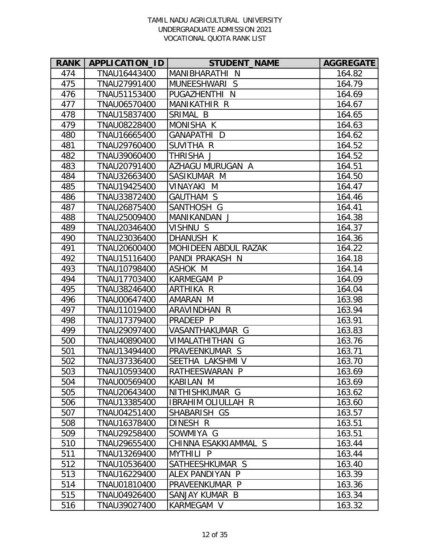| <b>RANK</b> | APPLICATION_ID | <b>STUDENT_NAME</b>       | <b>AGGREGATE</b> |
|-------------|----------------|---------------------------|------------------|
| 474         | TNAU16443400   | MANIBHARATHI N            | 164.82           |
| 475         | TNAU27991400   | MUNEESHWARI S             | 164.79           |
| 476         | TNAU51153400   | PUGAZHENTHI<br>N          | 164.69           |
| 477         | TNAU06570400   | <b>MANIKATHIR R</b>       | 164.67           |
| 478         | TNAU15837400   | SRIMAL B                  | 164.65           |
| 479         | TNAU08228400   | MONISHA K                 | 164.63           |
| 480         | TNAU16665400   | GANAPATHI D               | 164.62           |
| 481         | TNAU29760400   | SUVITHA R                 | 164.52           |
| 482         | TNAU39060400   | THRISHA J                 | 164.52           |
| 483         | TNAU20791400   | AZHAGU MURUGAN A          | 164.51           |
| 484         | TNAU32663400   | SASIKUMAR M               | 164.50           |
| 485         | TNAU19425400   | VINAYAKI M                | 164.47           |
| 486         | TNAU33872400   | <b>GAUTHAM S</b>          | 164.46           |
| 487         | TNAU26875400   | SANTHOSH G                | 164.41           |
| 488         | TNAU25009400   | MANIKANDAN J              | 164.38           |
| 489         | TNAU20346400   | VISHNU S                  | 164.37           |
| 490         | TNAU23036400   | DHANUSH K                 | 164.36           |
| 491         | TNAU20600400   | MOHIDEEN ABDUL RAZAK      | 164.22           |
| 492         | TNAU15116400   | PANDI PRAKASH N           | 164.18           |
| 493         | TNAU10798400   | ASHOK M                   | 164.14           |
| 494         | TNAU17703400   | KARMEGAM P                | 164.09           |
| 495         | TNAU38246400   | ARTHIKA R                 | 164.04           |
| 496         | TNAU00647400   | AMARAN M                  | 163.98           |
| 497         | TNAU11019400   | ARAVINDHAN<br>R           | 163.94           |
| 498         | TNAU17379400   | PRADEEP P                 | 163.91           |
| 499         | TNAU29097400   | VASANTHAKUMAR G           | 163.83           |
| 500         | TNAU40890400   | VIMALATHITHAN G           | 163.76           |
| 501         | TNAU13494400   | PRAVEENKUMAR S            | 163.71           |
| 502         | TNAU37336400   | SEETHA LAKSHMI V          | 163.70           |
| 503         | TNAU10593400   | RATHEESWARAN P            | 163.69           |
| 504         | TNAU00569400   | KABILAN M                 | 163.69           |
| 505         | TNAU20643400   | NITHISHKUMAR G            | 163.62           |
| 506         | TNAU13385400   | <b>IBRAHIM OLIULLAH R</b> | 163.60           |
| 507         | TNAU04251400   | SHABARISH GS              | 163.57           |
| 508         | TNAU16378400   | DINESH R                  | 163.51           |
| 509         | TNAU29258400   | SOWMIYA G                 | 163.51           |
| 510         | TNAU29655400   | CHINNA ESAKKIAMMAL S      | 163.44           |
| 511         | TNAU13269400   | MYTHILI P                 | 163.44           |
| 512         | TNAU10536400   | SATHEESHKUMAR S           | 163.40           |
| 513         | TNAU16229400   | ALEX PANDIYAN P           | 163.39           |
| 514         | TNAU01810400   | PRAVEENKUMAR P            | 163.36           |
| 515         | TNAU04926400   | SANJAY KUMAR B            | 163.34           |
| 516         | TNAU39027400   | KARMEGAM V                | 163.32           |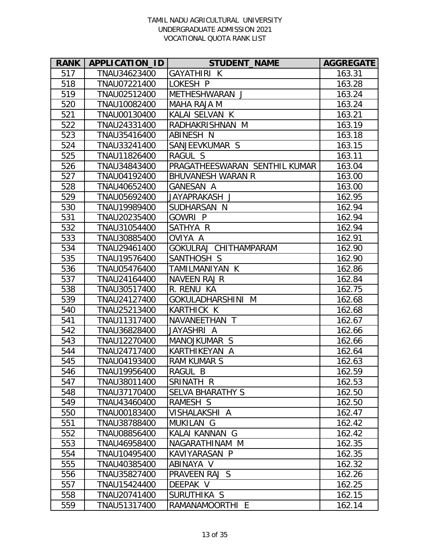| <b>RANK</b> | <b>APPLICATION ID</b> | <b>STUDENT_NAME</b>           | <b>AGGREGATE</b> |
|-------------|-----------------------|-------------------------------|------------------|
| 517         | TNAU34623400          | GAYATHIRI K                   | 163.31           |
| 518         | TNAU07221400          | LOKESH P                      | 163.28           |
| 519         | TNAU02512400          | METHESHWARAN J                | 163.24           |
| 520         | TNAU10082400          | <b>MAHA RAJA M</b>            | 163.24           |
| 521         | TNAU00130400          | KALAI SELVAN K                | 163.21           |
| 522         | TNAU24331400          | RADHAKRISHNAN M               | 163.19           |
| 523         | TNAU35416400          | ABINESH N                     | 163.18           |
| 524         | TNAU33241400          | SANJEEVKUMAR S                | 163.15           |
| 525         | TNAU11826400          | RAGUL S                       | 163.11           |
| 526         | TNAU34843400          | PRAGATHEESWARAN SENTHIL KUMAR | 163.04           |
| 527         | TNAU04192400          | <b>BHUVANESH WARAN R</b>      | 163.00           |
| 528         | TNAU40652400          | <b>GANESAN A</b>              | 163.00           |
| 529         | TNAU05692400          | JAYAPRAKASH J                 | 162.95           |
| 530         | TNAU19989400          | SUDHARSAN N                   | 162.94           |
| 531         | TNAU20235400          | <b>GOWRIP</b>                 | 162.94           |
| 532         | TNAU31054400          | SATHYA R                      | 162.94           |
| 533         | TNAU30885400          | OVIYA A                       | 162.91           |
| 534         | TNAU29461400          | GOKULRAJ CHITHAMPARAM         | 162.90           |
| 535         | TNAU19576400          | SANTHOSH S                    | 162.90           |
| 536         | TNAU05476400          | TAMILMANIYAN K                | 162.86           |
| 537         | TNAU24164400          | <b>NAVEEN RAJ R</b>           | 162.84           |
| 538         | TNAU30517400          | R. RENU KA                    | 162.75           |
| 539         | TNAU24127400          | GOKULADHARSHINI M             | 162.68           |
| 540         | TNAU25213400          | <b>KARTHICK K</b>             | 162.68           |
| 541         | TNAU11317400          | NAVANEETHAN T                 | 162.67           |
| 542         | TNAU36828400          | JAYASHRI A                    | 162.66           |
| 543         | TNAU12270400          | MANOJKUMAR S                  | 162.66           |
| 544         | TNAU24717400          | KARTHIKEYAN A                 | 162.64           |
| 545         | TNAU04193400          | <b>RAM KUMAR S</b>            | 162.63           |
| 546         | TNAU19956400          | RAGUL B                       | 162.59           |
| 547         | TNAU38011400          | SRINATH R                     | 162.53           |
| 548         | TNAU37170400          | <b>SELVA BHARATHY S</b>       | 162.50           |
| 549         | TNAU43460400          | RAMESH S                      | 162.50           |
| 550         | TNAU00183400          | VISHALAKSHI A                 | 162.47           |
| 551         | TNAU38788400          | MUKILAN G                     | 162.42           |
| 552         | TNAU08856400          | KALAI KANNAN G                | 162.42           |
| 553         | TNAU46958400          | NAGARATHINAM M                | 162.35           |
| 554         | TNAU10495400          | KAVIYARASAN P                 | 162.35           |
| 555         | TNAU40385400          | ABINAYA V                     | 162.32           |
| 556         | TNAU35827400          | PRAVEEN RAJ S                 | 162.26           |
| 557         | TNAU15424400          | DEEPAK V                      | 162.25           |
| 558         | TNAU20741400          | SURUTHIKA S                   | 162.15           |
| 559         | TNAU51317400          | RAMANAMOORTHI E               | 162.14           |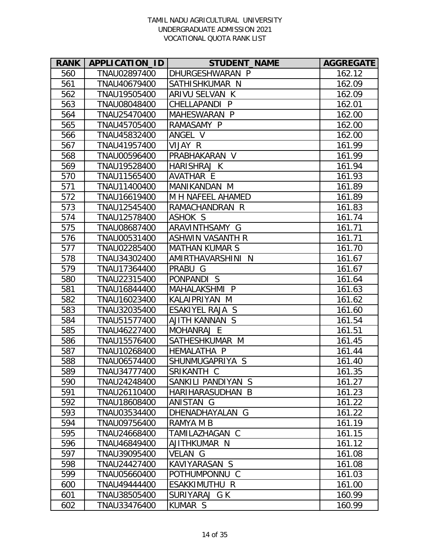| <b>RANK</b> | APPLICATION_ID | <b>STUDENT_NAME</b>     | <b>AGGREGATE</b> |
|-------------|----------------|-------------------------|------------------|
| 560         | TNAU02897400   | DHURGESHWARAN P         | 162.12           |
| 561         | TNAU40679400   | SATHISHKUMAR N          | 162.09           |
| 562         | TNAU19505400   | ARIVU SELVAN K          | 162.09           |
| 563         | TNAU08048400   | CHELLAPANDI P           | 162.01           |
| 564         | TNAU25470400   | MAHESWARAN P            | 162.00           |
| 565         | TNAU45705400   | RAMASAMY P              | 162.00           |
| 566         | TNAU45832400   | ANGEL V                 | 162.00           |
| 567         | TNAU41957400   | VIJAY R                 | 161.99           |
| 568         | TNAU00596400   | PRABHAKARAN V           | 161.99           |
| 569         | TNAU19528400   | HARISHRAJ K             | 161.94           |
| 570         | TNAU11565400   | AVATHAR E               | 161.93           |
| 571         | TNAU11400400   | MANIKANDAN M            | 161.89           |
| 572         | TNAU16619400   | M H NAFEEL AHAMED       | 161.89           |
| 573         | TNAU12545400   | RAMACHANDRAN R          | 161.83           |
| 574         | TNAU12578400   | ASHOK S                 | 161.74           |
| 575         | TNAU08687400   | ARAVINTHSAMY G          | 161.71           |
| 576         | TNAU00531400   | <b>ASHWIN VASANTH R</b> | 161.71           |
| 577         | TNAU02285400   | <b>MATHAN KUMAR S</b>   | 161.70           |
| 578         | TNAU34302400   | AMIRTHAVARSHINI<br>N    | 161.67           |
| 579         | TNAU17364400   | PRABU G                 | 161.67           |
| 580         | TNAU22315400   | PONPANDIS               | 161.64           |
| 581         | TNAU16844400   | MAHALAKSHMI P           | 161.63           |
| 582         | TNAU16023400   | KALAIPRIYAN M           | 161.62           |
| 583         | TNAU32035400   | ESAKIYEL RAJA S         | 161.60           |
| 584         | TNAU51577400   | AJITH KANNAN S          | 161.54           |
| 585         | TNAU46227400   | MOHANRAJ E              | 161.51           |
| 586         | TNAU15576400   | SATHESHKUMAR M          | 161.45           |
| 587         | TNAU10268400   | <b>HEMALATHA P</b>      | 161.44           |
| 588         | TNAU06574400   | SHUNMUGAPRIYA S         | 161.40           |
| 589         | TNAU34777400   | SRIKANTH C              | 161.35           |
| 590         | TNAU24248400   | SANKILI PANDIYAN S      | 161.27           |
| 591         | TNAU26110400   | HARIHARASUDHAN B        | 161.23           |
| 592         | TNAU18608400   | ANISTAN G               | 161.22           |
| 593         | TNAU03534400   | DHENADHAYALAN G         | 161.22           |
| 594         | TNAU09756400   | RAMYA M B               | 161.19           |
| 595         | TNAU24668400   | TAMILAZHAGAN C          | 161.15           |
| 596         | TNAU46849400   | AJITHKUMAR N            | 161.12           |
| 597         | TNAU39095400   | VELAN G                 | 161.08           |
| 598         | TNAU24427400   | KAVIYARASAN S           | 161.08           |
| 599         | TNAU05660400   | POTHUMPONNU C           | 161.03           |
| 600         | TNAU49444400   | ESAKKIMUTHU R           | 161.00           |
| 601         | TNAU38505400   | SURIYARAJ G K           | 160.99           |
| 602         | TNAU33476400   | KUMAR S                 | 160.99           |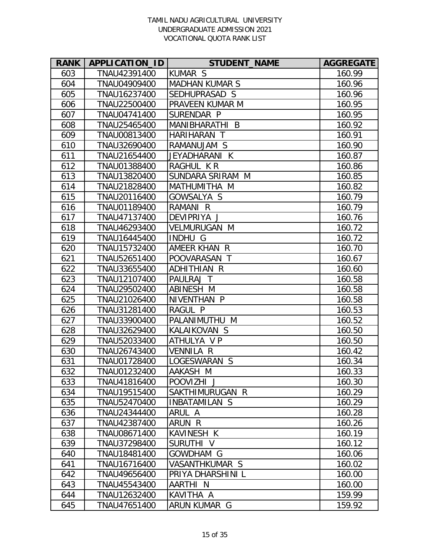| <b>RANK</b> | APPLICATION_ID | <b>STUDENT_NAME</b>        | <b>AGGREGATE</b> |
|-------------|----------------|----------------------------|------------------|
| 603         | TNAU42391400   | <b>KUMAR S</b>             | 160.99           |
| 604         | TNAU04909400   | <b>MADHAN KUMAR S</b>      | 160.96           |
| 605         | TNAU16237400   | SEDHUPRASAD S              | 160.96           |
| 606         | TNAU22500400   | PRAVEEN KUMAR M            | 160.95           |
| 607         | TNAU04741400   | SURENDAR P                 | 160.95           |
| 608         | TNAU25465400   | MANIBHARATHI B             | 160.92           |
| 609         | TNAU00813400   | <b>HARIHARAN</b><br>$\top$ | 160.91           |
| 610         | TNAU32690400   | RAMANUJAM S                | 160.90           |
| 611         | TNAU21654400   | JEYADHARANI K              | 160.87           |
| 612         | TNAU01388400   | RAGHUL KR                  | 160.86           |
| 613         | TNAU13820400   | SUNDARA SRIRAM M           | 160.85           |
| 614         | TNAU21828400   | MATHUMITHA M               | 160.82           |
| 615         | TNAU20116400   | GOWSALYA S                 | 160.79           |
| 616         | TNAU01189400   | RAMANI R                   | 160.79           |
| 617         | TNAU47137400   | DEVIPRIYA J                | 160.76           |
| 618         | TNAU46293400   | <b>VELMURUGAN M</b>        | 160.72           |
| 619         | TNAU16445400   | <b>INDHU G</b>             | 160.72           |
| 620         | TNAU15732400   | AMEER KHAN R               | 160.70           |
| 621         | TNAU52651400   | POOVARASAN T               | 160.67           |
| 622         | TNAU33655400   | ADHITHIAN R                | 160.60           |
| 623         | TNAU12107400   | PAULRAJ T                  | 160.58           |
| 624         | TNAU29502400   | ABINESH M                  | 160.58           |
| 625         | TNAU21026400   | NIVENTHAN P                | 160.58           |
| 626         | TNAU31281400   | RAGUL P                    | 160.53           |
| 627         | TNAU33900400   | PALANIMUTHU M              | 160.52           |
| 628         | TNAU32629400   | KALAIKOVAN S               | 160.50           |
| 629         | TNAU52033400   | ATHULYA V P                | 160.50           |
| 630         | TNAU26743400   | <b>VENNILA R</b>           | 160.42           |
| 631         | TNAU01728400   | LOGESWARAN S               | 160.34           |
| 632         | TNAU01232400   | AAKASH M                   | 160.33           |
| 633         | TNAU41816400   | POOVIZHI J                 | 160.30           |
| 634         | TNAU19515400   | SAKTHIMURUGAN R            | 160.29           |
| 635         | TNAU52470400   | INBATAMILAN S              | 160.29           |
| 636         | TNAU24344400   | ARUL A                     | 160.28           |
| 637         | TNAU42387400   | ARUN R                     | 160.26           |
| 638         | TNAU08671400   | <b>KAVINESH K</b>          | 160.19           |
| 639         | TNAU37298400   | SURUTHI V                  | 160.12           |
| 640         | TNAU18481400   | GOWDHAM G                  | 160.06           |
| 641         | TNAU16716400   | VASANTHKUMAR S             | 160.02           |
| 642         | TNAU49656400   | PRIYA DHARSHINI L          | 160.00           |
| 643         | TNAU45543400   | AARTHI N                   | 160.00           |
| 644         | TNAU12632400   | KAVITHA A                  | 159.99           |
| 645         | TNAU47651400   | ARUN KUMAR G               | 159.92           |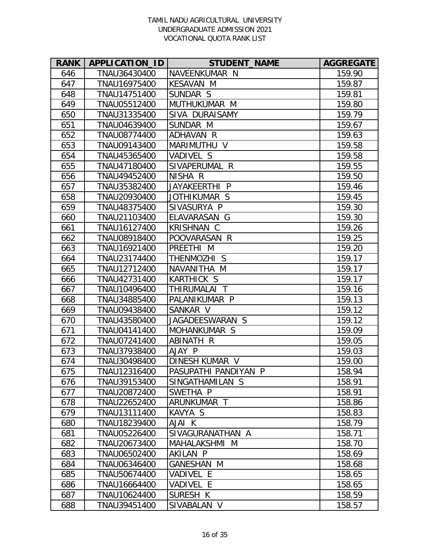| <b>RANK</b> | <b>APPLICATION ID</b> | <b>STUDENT NAME</b>  | <b>AGGREGATE</b> |
|-------------|-----------------------|----------------------|------------------|
| 646         | TNAU36430400          | NAVEENKUMAR N        | 159.90           |
| 647         | TNAU16975400          | <b>KESAVAN M</b>     | 159.87           |
| 648         | TNAU14751400          | SUNDAR S             | 159.81           |
| 649         | TNAU05512400          | MUTHUKUMAR M         | 159.80           |
| 650         | TNAU31335400          | SIVA DURAISAMY       | 159.79           |
| 651         | TNAU04639400          | SUNDAR M             | 159.67           |
| 652         | TNAU08774400          | ADHAVAN R            | 159.63           |
| 653         | TNAU09143400          | MARIMUTHU V          | 159.58           |
| 654         | TNAU45365400          | VADIVEL S            | 159.58           |
| 655         | TNAU47180400          | SIVAPERUMAL R        | 159.55           |
| 656         | TNAU49452400          | NISHA R              | 159.50           |
| 657         | TNAU35382400          | JAYAKEERTHI P        | 159.46           |
| 658         | TNAU20930400          | JOTHIKUMAR S         | 159.45           |
| 659         | TNAU48375400          | SIVASURYA P          | 159.30           |
| 660         | TNAU21103400          | ELAVARASAN G         | 159.30           |
| 661         | TNAU16127400          | <b>KRISHNAN C</b>    | 159.26           |
| 662         | TNAU08918400          | POOVARASAN R         | 159.25           |
| 663         | TNAU16921400          | PREETHI M            | 159.20           |
| 664         | TNAU23174400          | THENMOZHI S          | 159.17           |
| 665         | TNAU12712400          | NAVANITHA M          | 159.17           |
| 666         | TNAU42731400          | KARTHICK S           | 159.17           |
| 667         | TNAU10496400          | THIRUMALAI T         | 159.16           |
| 668         | TNAU34885400          | PALANIKUMAR P        | 159.13           |
| 669         | TNAU09438400          | SANKAR V             | 159.12           |
| 670         | TNAU43580400          | JAGADEESWARAN S      | 159.12           |
| 671         | TNAU04141400          | MOHANKUMAR S         | 159.09           |
| 672         | TNAU07241400          | ABINATH R            | 159.05           |
| 673         | TNAU37938400          | AJAY P               | 159.03           |
| 674         | TNAU30498400          | DINESH KUMAR V       | 159.00           |
| 675         | TNAU12316400          | PASUPATHI PANDIYAN P | 158.94           |
| 676         | TNAU39153400          | SINGATHAMILAN S      | 158.91           |
| 677         | TNAU20872400          | SWETHA P             | 158.91           |
| 678         | TNAU22652400          | ARUNKUMAR T          | 158.86           |
| 679         | TNAU13111400          | KAVYA S              | 158.83           |
| 680         | TNAU18239400          | AJAI K               | 158.79           |
| 681         | TNAU05226400          | SIVAGURANATHAN A     | 158.71           |
| 682         | TNAU20673400          | MAHALAKSHMI M        | 158.70           |
| 683         | TNAU06502400          | AKILAN P             | 158.69           |
| 684         | TNAU06346400          | <b>GANESHAN M</b>    | 158.68           |
| 685         | TNAU50674400          | VADIVEL E            | 158.65           |
| 686         | TNAU16664400          | VADIVEL E            | 158.65           |
| 687         | TNAU10624400          | SURESH K             | 158.59           |
| 688         | TNAU39451400          | SIVABALAN V          | 158.57           |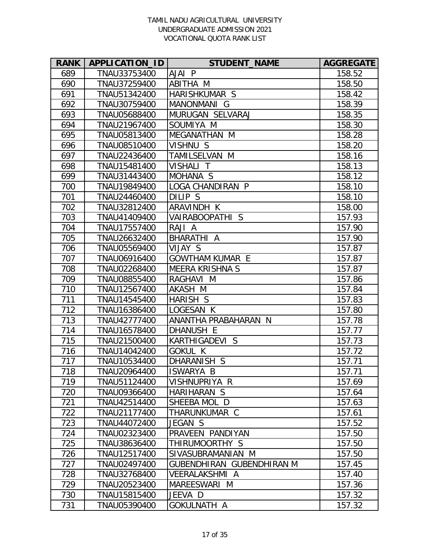| <b>RANK</b> | APPLICATION_ID | <b>STUDENT_NAME</b>       | <b>AGGREGATE</b> |
|-------------|----------------|---------------------------|------------------|
| 689         | TNAU33753400   | AJAI P                    | 158.52           |
| 690         | TNAU37259400   | ABITHA M                  | 158.50           |
| 691         | TNAU51342400   | HARISHKUMAR S             | 158.42           |
| 692         | TNAU30759400   | MANONMANI G               | 158.39           |
| 693         | TNAU05688400   | MURUGAN SELVARAJ          | 158.35           |
| 694         | TNAU21967400   | SOUMIYA M                 | 158.30           |
| 695         | TNAU05813400   | MEGANATHAN M              | 158.28           |
| 696         | TNAU08510400   | VISHNU S                  | 158.20           |
| 697         | TNAU22436400   | TAMILSELVAN M             | 158.16           |
| 698         | TNAU15481400   | VISHALI T                 | 158.13           |
| 699         | TNAU31443400   | MOHANA <sub>S</sub>       | 158.12           |
| 700         | TNAU19849400   | LOGA CHANDIRAN P          | 158.10           |
| 701         | TNAU24460400   | DILIP S                   | 158.10           |
| 702         | TNAU32812400   | ARAVINDH K                | 158.00           |
| 703         | TNAU41409400   | VAIRABOOPATHI S           | 157.93           |
| 704         | TNAU17557400   | RAJI A                    | 157.90           |
| 705         | TNAU26632400   | BHARATHI A                | 157.90           |
| 706         | TNAU05569400   | VIJAY S                   | 157.87           |
| 707         | TNAU06916400   | <b>GOWTHAM KUMAR E</b>    | 157.87           |
| 708         | TNAU02268400   | <b>MEERA KRISHNA S</b>    | 157.87           |
| 709         | TNAU08855400   | RAGHAVI M                 | 157.86           |
| 710         | TNAU12567400   | AKASH M                   | 157.84           |
| 711         | TNAU14545400   | HARISH S                  | 157.83           |
| 712         | TNAU16386400   | LOGESAN K                 | 157.80           |
| 713         | TNAU42777400   | ANANTHA PRABAHARAN N      | 157.78           |
| 714         | TNAU16578400   | DHANUSH E                 | 157.77           |
| 715         | TNAU21500400   | KARTHIGADEVI S            | 157.73           |
| 716         | TNAU14042400   | <b>GOKUL K</b>            | 157.72           |
| 717         | TNAU10534400   | DHARANISH S               | 157.71           |
| 718         | TNAU20964400   | ISWARYA B                 | 157.71           |
| 719         | TNAU51124400   | VISHNUPRIYA R             | 157.69           |
| 720         | TNAU09366400   | HARIHARAN S               | 157.64           |
| 721         | TNAU42514400   | SHEEBA MOL D              | 157.63           |
| 722         | TNAU21177400   | THARUNKUMAR C             | 157.61           |
| 723         | TNAU44072400   | JEGAN S                   | 157.52           |
| 724         | TNAU02323400   | PRAVEEN PANDIYAN          | 157.50           |
| 725         | TNAU38636400   | THIRUMOORTHY S            | 157.50           |
| 726         | TNAU12517400   | SIVASUBRAMANIAN M         | 157.50           |
| 727         | TNAU02497400   | GUBENDHIRAN GUBENDHIRAN M | 157.45           |
| 728         | TNAU32768400   | <b>VEERALAKSHMI A</b>     | 157.40           |
| 729         | TNAU20523400   | MAREESWARI M              | 157.36           |
| 730         | TNAU15815400   | JEEVA D                   | 157.32           |
| 731         | TNAU05390400   | GOKULNATH A               | 157.32           |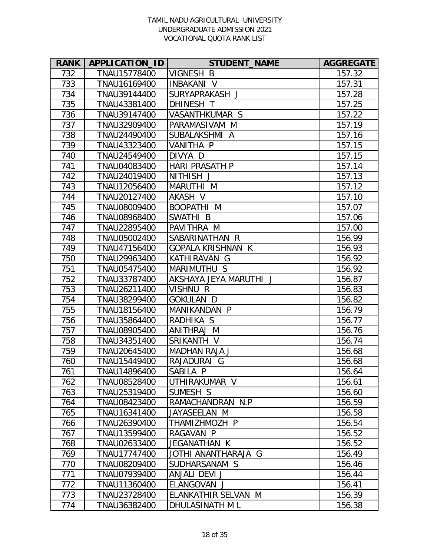| <b>RANK</b> | <b>APPLICATION ID</b> | <b>STUDENT_NAME</b>      | <b>AGGREGATE</b> |
|-------------|-----------------------|--------------------------|------------------|
| 732         | TNAU15778400          | VIGNESH B                | 157.32           |
| 733         | TNAU16169400          | <b>INBAKANI V</b>        | 157.31           |
| 734         | TNAU39144400          | SURYAPRAKASH J           | 157.28           |
| 735         | TNAU43381400          | <b>DHINESH T</b>         | 157.25           |
| 736         | TNAU39147400          | VASANTHKUMAR S           | 157.22           |
| 737         | TNAU32909400          | PARAMASIVAM M            | 157.19           |
| 738         | TNAU24490400          | SUBALAKSHMI A            | 157.16           |
| 739         | TNAU43323400          | VANITHA P                | 157.15           |
| 740         | TNAU24549400          | DIVYA D                  | 157.15           |
| 741         | TNAU04083400          | <b>HARI PRASATH P</b>    | 157.14           |
| 742         | TNAU24019400          | NITHISH J                | 157.13           |
| 743         | TNAU12056400          | MARUTHI M                | 157.12           |
| 744         | TNAU20127400          | AKASH V                  | 157.10           |
| 745         | TNAU08009400          | <b>BOOPATHI M</b>        | 157.07           |
| 746         | TNAU08968400          | SWATHI B                 | 157.06           |
| 747         | TNAU22895400          | PAVITHRA M               | 157.00           |
| 748         | TNAU05002400          | SABARINATHAN R           | 156.99           |
| 749         | TNAU47156400          | <b>GOPALA KRISHNAN K</b> | 156.93           |
| 750         | TNAU29963400          | KATHIRAVAN G             | 156.92           |
| 751         | TNAU05475400          | MARIMUTHU S              | 156.92           |
| 752         | TNAU33787400          | AKSHAYA JEYA MARUTHI J   | 156.87           |
| 753         | TNAU26211400          | VISHNU R                 | 156.83           |
| 754         | TNAU38299400          | <b>GOKULAN D</b>         | 156.82           |
| 755         | TNAU18156400          | MANIKANDAN P             | 156.79           |
| 756         | TNAU35864400          | RADHIKA S                | 156.77           |
| 757         | TNAU08905400          | ANITHRAJ M               | 156.76           |
| 758         | TNAU34351400          | SRIKANTH V               | 156.74           |
| 759         | TNAU20645400          | <b>MADHAN RAJA J</b>     | 156.68           |
| 760         | TNAU15449400          | RAJADURAI G              | 156.68           |
| 761         | TNAU14896400          | SABILA P                 | 156.64           |
| 762         | TNAU08528400          | UTHIRAKUMAR V            | 156.61           |
| 763         | TNAU25319400          | SUMESH S                 | 156.60           |
| 764         | TNAU08423400          | RAMACHANDRAN N.P         | 156.59           |
| 765         | TNAU16341400          | JAYASEELAN M             | 156.58           |
| 766         | TNAU26390400          | THAMIZHMOZH P            | 156.54           |
| 767         | TNAU13599400          | RAGAVAN P                | 156.52           |
| 768         | TNAU02633400          | JEGANATHAN K             | 156.52           |
| 769         | TNAU17747400          | JOTHI ANANTHARAJA G      | 156.49           |
| 770         | TNAU08209400          | SUDHARSANAM S            | 156.46           |
| 771         | TNAU07939400          | ANJALI DEVI J            | 156.44           |
| 772         | TNAU11360400          | ELANGOVAN J              | 156.41           |
| 773         | TNAU23728400          | ELANKATHIR SELVAN M      | 156.39           |
| 774         | TNAU36382400          | DHULASINATH M L          | 156.38           |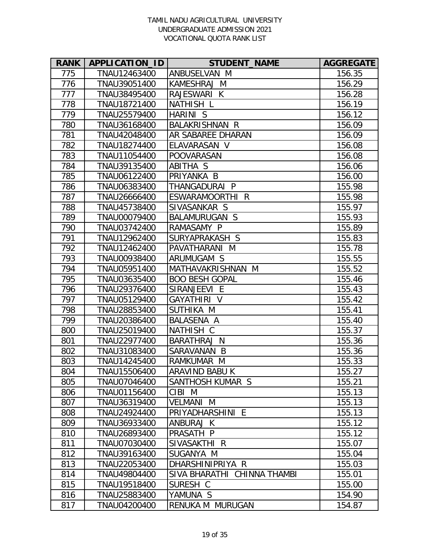| <b>RANK</b> | APPLICATION_ID | <b>STUDENT_NAME</b>         | <b>AGGREGATE</b> |
|-------------|----------------|-----------------------------|------------------|
| 775         | TNAU12463400   | ANBUSELVAN M                | 156.35           |
| 776         | TNAU39051400   | KAMESHRAJ M                 | 156.29           |
| 777         | TNAU38495400   | RAJESWARI K                 | 156.28           |
| 778         | TNAU18721400   | <b>NATHISH L</b>            | 156.19           |
| 779         | TNAU25579400   | HARINI S                    | 156.12           |
| 780         | TNAU36168400   | <b>BALAKRISHNAN R</b>       | 156.09           |
| 781         | TNAU42048400   | AR SABAREE DHARAN           | 156.09           |
| 782         | TNAU18274400   | ELAVARASAN V                | 156.08           |
| 783         | TNAU11054400   | <b>POOVARASAN</b>           | 156.08           |
| 784         | TNAU39135400   | ABITHA S                    | 156.06           |
| 785         | TNAU06122400   | PRIYANKA B                  | 156.00           |
| 786         | TNAU06383400   | THANGADURAI P               | 155.98           |
| 787         | TNAU26666400   | ESWARAMOORTHI R             | 155.98           |
| 788         | TNAU45738400   | SIVASANKAR S                | 155.97           |
| 789         | TNAU00079400   | <b>BALAMURUGAN S</b>        | 155.93           |
| 790         | TNAU03742400   | RAMASAMY P                  | 155.89           |
| 791         | TNAU12962400   | SURYAPRAKASH S              | 155.83           |
| 792         | TNAU12462400   | PAVATHARANI M               | 155.78           |
| 793         | TNAU00938400   | ARUMUGAM S                  | 155.55           |
| 794         | TNAU05951400   | MATHAVAKRISHNAN M           | 155.52           |
| 795         | TNAU03635400   | <b>BOO BESH GOPAL</b>       | 155.46           |
| 796         | TNAU29376400   | SIRANJEEVI E                | 155.43           |
| 797         | TNAU05129400   | GAYATHIRI V                 | 155.42           |
| 798         | TNAU28853400   | SUTHIKA M                   | 155.41           |
| 799         | TNAU20386400   | BALASENA A                  | 155.40           |
| 800         | TNAU25019400   | NATHISH C                   | 155.37           |
| 801         | TNAU22977400   | <b>BARATHRAJ N</b>          | 155.36           |
| 802         | TNAU31083400   | SARAVANAN B                 | 155.36           |
| 803         | TNAU14245400   | RAMKUMAR M                  | 155.33           |
| 804         | TNAU15506400   | ARAVIND BABU K              | 155.27           |
| 805         | TNAU07046400   | SANTHOSH KUMAR S            | 155.21           |
| 806         | TNAU01156400   | CIBI M                      | 155.13           |
| 807         | TNAU36319400   | <b>VELMANI M</b>            | 155.13           |
| 808         | TNAU24924400   | PRIYADHARSHINI E            | 155.13           |
| 809         | TNAU36933400   | ANBURAJ K                   | 155.12           |
| 810         | TNAU26893400   | PRASATH P                   | 155.12           |
| 811         | TNAU07030400   | SIVASAKTHI R                | 155.07           |
| 812         | TNAU39163400   | SUGANYA M                   | 155.04           |
| 813         | TNAU22053400   | DHARSHINIPRIYA R            | 155.03           |
| 814         | TNAU49804400   | SIVA BHARATHI CHINNA THAMBI | 155.01           |
| 815         | TNAU19518400   | SURESH C                    | 155.00           |
| 816         | TNAU25883400   | YAMUNA S                    | 154.90           |
| 817         | TNAU04200400   | RENUKA M MURUGAN            | 154.87           |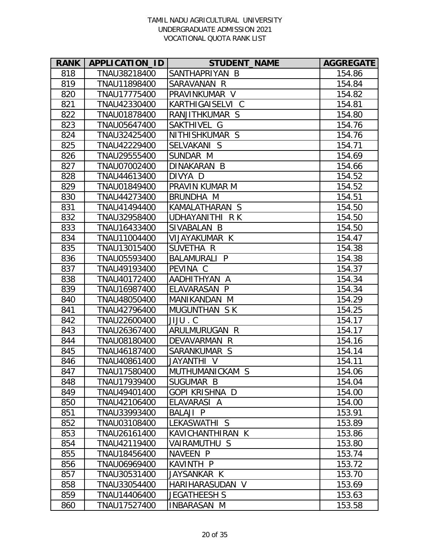| <b>RANK</b> | APPLICATION_ID | <b>STUDENT_NAME</b>   | <b>AGGREGATE</b> |
|-------------|----------------|-----------------------|------------------|
| 818         | TNAU38218400   | SANTHAPRIYAN B        | 154.86           |
| 819         | TNAU11898400   | SARAVANAN R           | 154.84           |
| 820         | TNAU17775400   | PRAVINKUMAR V         | 154.82           |
| 821         | TNAU42330400   | KARTHIGAISELVI C      | 154.81           |
| 822         | TNAU01878400   | RANJITHKUMAR S        | 154.80           |
| 823         | TNAU05647400   | SAKTHIVEL G           | 154.76           |
| 824         | TNAU32425400   | NITHISHKUMAR S        | 154.76           |
| 825         | TNAU42229400   | SELVAKANI S           | 154.71           |
| 826         | TNAU29555400   | SUNDAR M              | 154.69           |
| 827         | TNAU07002400   | DINAKARAN B           | 154.66           |
| 828         | TNAU44613400   | DIVYA D               | 154.52           |
| 829         | TNAU01849400   | PRAVIN KUMAR M        | 154.52           |
| 830         | TNAU44273400   | BRUNDHA M             | 154.51           |
| 831         | TNAU41494400   | KAMALATHARAN S        | 154.50           |
| 832         | TNAU32958400   | UDHAYANITHI R K       | 154.50           |
| 833         | TNAU16433400   | SIVABALAN B           | 154.50           |
| 834         | TNAU11004400   | VIJAYAKUMAR K         | 154.47           |
| 835         | TNAU13015400   | SUVETHA R             | 154.38           |
| 836         | TNAU05593400   | <b>BALAMURALI P</b>   | 154.38           |
| 837         | TNAU49193400   | PEVINA C              | 154.37           |
| 838         | TNAU40172400   | AADHITHYAN A          | 154.34           |
| 839         | TNAU16987400   | ELAVARASAN P          | 154.34           |
| 840         | TNAU48050400   | MANIKANDAN M          | 154.29           |
| 841         | TNAU42796400   | MUGUNTHAN SK          | 154.25           |
| 842         | TNAU22600400   | JIJU.C                | 154.17           |
| 843         | TNAU26367400   | ARULMURUGAN R         | 154.17           |
| 844         | TNAU08180400   | DEVAVARMAN R          | 154.16           |
| 845         | TNAU46187400   | SARANKUMAR S          | 154.14           |
| 846         | TNAU40861400   | V IHTMAYAU            | 154.11           |
| 847         | TNAU17580400   | MUTHUMANICKAM S       | 154.06           |
| 848         | TNAU17939400   | SUGUMAR B             | 154.04           |
| 849         | TNAU49401400   | <b>GOPI KRISHNA D</b> | 154.00           |
| 850         | TNAU42106400   | ELAVARASI A           | 154.00           |
| 851         | TNAU33993400   | BALAJI P              | 153.91           |
| 852         | TNAU03108400   | LEKASWATHI S          | 153.89           |
| 853         | TNAU26161400   | KAVICHANTHIRAN K      | 153.86           |
| 854         | TNAU42119400   | VAIRAMUTHU S          | 153.80           |
| 855         | TNAU18456400   | NAVEEN P              | 153.74           |
| 856         | TNAU06969400   | <b>KAVINTH P</b>      | 153.72           |
| 857         | TNAU30531400   | JAYSANKAR K           | 153.70           |
| 858         | TNAU33054400   | HARIHARASUDAN V       | 153.69           |
| 859         | TNAU14406400   | <b>JEGATHEESH S</b>   | 153.63           |
| 860         | TNAU17527400   | INBARASAN M           | 153.58           |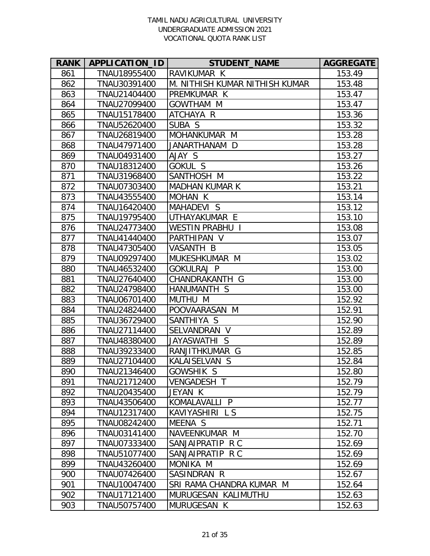| <b>RANK</b> | APPLICATION_ID | <b>STUDENT NAME</b>            | <b>AGGREGATE</b> |
|-------------|----------------|--------------------------------|------------------|
| 861         | TNAU18955400   | RAVIKUMAR K                    | 153.49           |
| 862         | TNAU30391400   | M. NITHISH KUMAR NITHISH KUMAR | 153.48           |
| 863         | TNAU21404400   | PREMKUMAR K                    | 153.47           |
| 864         | TNAU27099400   | <b>GOWTHAM M</b>               | 153.47           |
| 865         | TNAU15178400   | ATCHAYA R                      | 153.36           |
| 866         | TNAU52620400   | SUBA S                         | 153.32           |
| 867         | TNAU26819400   | MOHANKUMAR M                   | 153.28           |
| 868         | TNAU47971400   | JANARTHANAM D                  | 153.28           |
| 869         | TNAU04931400   | AJAY S                         | 153.27           |
| 870         | TNAU18312400   | GOKUL S                        | 153.26           |
| 871         | TNAU31968400   | SANTHOSH M                     | 153.22           |
| 872         | TNAU07303400   | <b>MADHAN KUMAR K</b>          | 153.21           |
| 873         | TNAU43555400   | MOHAN K                        | 153.14           |
| 874         | TNAU16420400   | MAHADEVI S                     | 153.12           |
| 875         | TNAU19795400   | UTHAYAKUMAR E                  | 153.10           |
| 876         | TNAU24773400   | <b>WESTIN PRABHU I</b>         | 153.08           |
| 877         | TNAU41440400   | PARTHIPAN V                    | 153.07           |
| 878         | TNAU47305400   | VASANTH B                      | 153.05           |
| 879         | TNAU09297400   | MUKESHKUMAR M                  | 153.02           |
| 880         | TNAU46532400   | <b>GOKULRAJ P</b>              | 153.00           |
| 881         | TNAU27640400   | CHANDRAKANTH G                 | 153.00           |
| 882         | TNAU24798400   | HANUMANTH S                    | 153.00           |
| 883         | TNAU06701400   | MUTHU M                        | 152.92           |
| 884         | TNAU24824400   | POOVAARASAN M                  | 152.91           |
| 885         | TNAU36729400   | SANTHIYA S                     | 152.90           |
| 886         | TNAU27114400   | SELVANDRAN V                   | 152.89           |
| 887         | TNAU48380400   | JAYASWATHI S                   | 152.89           |
| 888         | TNAU39233400   | RANJITHKUMAR G                 | 152.85           |
| 889         | TNAU27104400   | KALAISELVAN S                  | 152.84           |
| 890         | TNAU21346400   | GOWSHIK S                      | 152.80           |
| 891         | TNAU21712400   | <b>VENGADESH T</b>             | 152.79           |
| 892         | TNAU20435400   | JEYAN K                        | 152.79           |
| 893         | TNAU43506400   | KOMALAVALLI P                  | 152.77           |
| 894         | TNAU12317400   | KAVIYASHIRI L S                | 152.75           |
| 895         | TNAU08242400   | MEENA S                        | 152.71           |
| 896         | TNAU03141400   | NAVEENKUMAR M                  | 152.70           |
| 897         | TNAU07333400   | SANJAIPRATIP R C               | 152.69           |
| 898         | TNAU51077400   | SANJAIPRATIP R C               | 152.69           |
| 899         | TNAU43260400   | MONIKA M                       | 152.69           |
| 900         | TNAU07426400   | SASINDRAN R                    | 152.67           |
| 901         | TNAU10047400   | SRI RAMA CHANDRA KUMAR M       | 152.64           |
| 902         | TNAU17121400   | MURUGESAN KALIMUTHU            | 152.63           |
| 903         | TNAU50757400   | MURUGESAN K                    | 152.63           |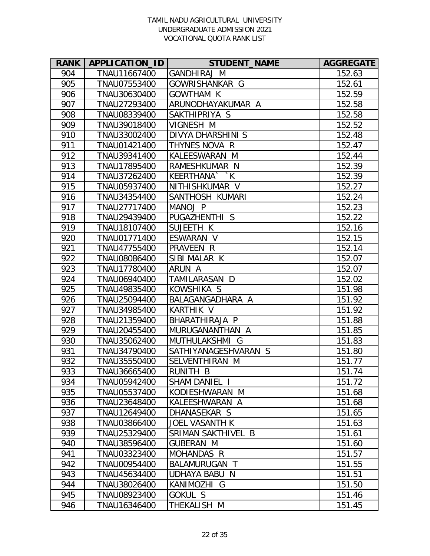| <b>RANK</b> | APPLICATION_ID | <b>STUDENT NAME</b>      | <b>AGGREGATE</b> |
|-------------|----------------|--------------------------|------------------|
| 904         | TNAU11667400   | GANDHIRAJ M              | 152.63           |
| 905         | TNAU07553400   | GOWRISHANKAR G           | 152.61           |
| 906         | TNAU30630400   | <b>GOWTHAM K</b>         | 152.59           |
| 907         | TNAU27293400   | ARUNODHAYAKUMAR A        | 152.58           |
| 908         | TNAU08339400   | SAKTHIPRIYA S            | 152.58           |
| 909         | TNAU39018400   | VIGNESH M                | 152.52           |
| 910         | TNAU33002400   | <b>DIVYA DHARSHINI S</b> | 152.48           |
| 911         | TNAU01421400   | THYNES NOVA R            | 152.47           |
| 912         | TNAU39341400   | KALEESWARAN M            | 152.44           |
| 913         | TNAU17895400   | RAMESHKUMAR N            | 152.39           |
| 914         | TNAU37262400   | KEERTHANA``K             | 152.39           |
| 915         | TNAU05937400   | NITHISHKUMAR V           | 152.27           |
| 916         | TNAU34354400   | SANTHOSH KUMARI          | 152.24           |
| 917         | TNAU27717400   | MANOJ P                  | 152.23           |
| 918         | TNAU29439400   | PUGAZHENTHI S            | 152.22           |
| 919         | TNAU18107400   | SUJEETH K                | 152.16           |
| 920         | TNAU01771400   | ESWARAN V                | 152.15           |
| 921         | TNAU47755400   | PRAVEEN R                | 152.14           |
| 922         | TNAU08086400   | SIBI MALAR K             | 152.07           |
| 923         | TNAU17780400   | ARUN A                   | 152.07           |
| 924         | TNAU06940400   | TAMILARASAN D            | 152.02           |
| 925         | TNAU49835400   | KOWSHIKA S               | 151.98           |
| 926         | TNAU25094400   | BALAGANGADHARA A         | 151.92           |
| 927         | TNAU34985400   | <b>KARTHIK V</b>         | 151.92           |
| 928         | TNAU21359400   | BHARATHIRAJA P           | 151.88           |
| 929         | TNAU20455400   | MURUGANANTHAN A          | 151.85           |
| 930         | TNAU35062400   | MUTHULAKSHMI G           | 151.83           |
| 931         | TNAU34790400   | SATHIYANAGESHVARAN S     | 151.80           |
| 932         | TNAU35550400   | SELVENTHIRAN M           | 151.77           |
| 933         | TNAU36665400   | RUNITH B                 | 151.74           |
| 934         | TNAU05942400   | SHAM DANIEL I            | 151.72           |
| 935         | TNAU05537400   | KODIESHWARAN M           | 151.68           |
| 936         | TNAU23648400   | KALEESHWARAN A           | 151.68           |
| 937         | TNAU12649400   | DHANASEKAR S             | 151.65           |
| 938         | TNAU03866400   | <b>JOEL VASANTH K</b>    | 151.63           |
| 939         | TNAU25329400   | SRIMAN SAKTHIVEL B       | 151.61           |
| 940         | TNAU38596400   | <b>GUBERAN M</b>         | 151.60           |
| 941         | TNAU03323400   | <b>MOHANDAS R</b>        | 151.57           |
| 942         | TNAU00954400   | BALAMURUGAN T            | 151.55           |
| 943         | TNAU45634400   | UDHAYA BABU N            | 151.51           |
| 944         | TNAU38026400   | KANIMOZHI G              | 151.50           |
| 945         | TNAU08923400   | GOKUL S                  | 151.46           |
| 946         | TNAU16346400   | THEKALISH M              | 151.45           |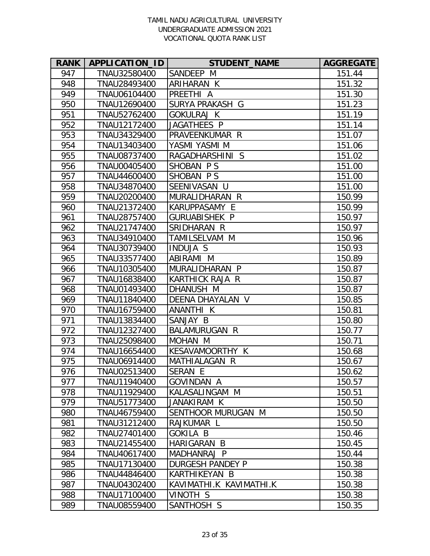| <b>RANK</b> | APPLICATION_ID | <b>STUDENT NAME</b>     | <b>AGGREGATE</b> |
|-------------|----------------|-------------------------|------------------|
| 947         | TNAU32580400   | SANDEEP M               | 151.44           |
| 948         | TNAU28493400   | ARIHARAN K              | 151.32           |
| 949         | TNAU06104400   | PREETHI A               | 151.30           |
| 950         | TNAU12690400   | SURYA PRAKASH G         | 151.23           |
| 951         | TNAU52762400   | <b>GOKULRAJ K</b>       | 151.19           |
| 952         | TNAU12172400   | JAGATHEES P             | 151.14           |
| 953         | TNAU34329400   | PRAVEENKUMAR R          | 151.07           |
| 954         | TNAU13403400   | YASMI YASMI M           | 151.06           |
| 955         | TNAU08737400   | RAGADHARSHINI<br>S      | 151.02           |
| 956         | TNAU00405400   | SHOBAN PS               | 151.00           |
| 957         | TNAU44600400   | SHOBAN PS               | 151.00           |
| 958         | TNAU34870400   | SEENIVASAN U            | 151.00           |
| 959         | TNAU20200400   | MURALIDHARAN R          | 150.99           |
| 960         | TNAU21372400   | KARUPPASAMY E           | 150.99           |
| 961         | TNAU28757400   | GURUABISHEK P           | 150.97           |
| 962         | TNAU21747400   | SRIDHARAN R             | 150.97           |
| 963         | TNAU34910400   | TAMILSELVAM M           | 150.96           |
| 964         | TNAU30739400   | <b>INDUJA S</b>         | 150.93           |
| 965         | TNAU33577400   | ABIRAMI M               | 150.89           |
| 966         | TNAU10305400   | MURALIDHARAN P          | 150.87           |
| 967         | TNAU16838400   | KARTHICK RAJA R         | 150.87           |
| 968         | TNAU01493400   | DHANUSH M               | 150.87           |
| 969         | TNAU11840400   | DEENA DHAYALAN V        | 150.85           |
| 970         | TNAU16759400   | ANANTHI K               | 150.81           |
| 971         | TNAU13834400   | SANJAY B                | 150.80           |
| 972         | TNAU12327400   | <b>BALAMURUGAN R</b>    | 150.77           |
| 973         | TNAU25098400   | MOHAN M                 | 150.71           |
| 974         | TNAU16654400   | KESAVAMOORTHY K         | 150.68           |
| 975         | TNAU06914400   | MATHIALAGAN R           | 150.67           |
| 976         | TNAU02513400   | SERAN E                 | 150.62           |
| 977         | TNAU11940400   | <b>GOVINDAN A</b>       | 150.57           |
| 978         | TNAU11929400   | KALASALINGAM M          | 150.51           |
| 979         | TNAU51773400   | JANAKIRAM K             | 150.50           |
| 980         | TNAU46759400   | SENTHOOR MURUGAN M      | 150.50           |
| 981         | TNAU31212400   | RAJKUMAR L              | 150.50           |
| 982         | TNAU27401400   | <b>GOKILA B</b>         | 150.46           |
| 983         | TNAU21455400   | HARIGARAN B             | 150.45           |
| 984         | TNAU40617400   | MADHANRAJ P             | 150.44           |
| 985         | TNAU17130400   | <b>DURGESH PANDEY P</b> | 150.38           |
| 986         | TNAU44846400   | KARTHIKEYAN B           | 150.38           |
| 987         | TNAU04302400   | KAVIMATHI.K KAVIMATHI.K | 150.38           |
| 988         | TNAU17100400   | VINOTH S                | 150.38           |
| 989         | TNAU08559400   | SANTHOSH S              | 150.35           |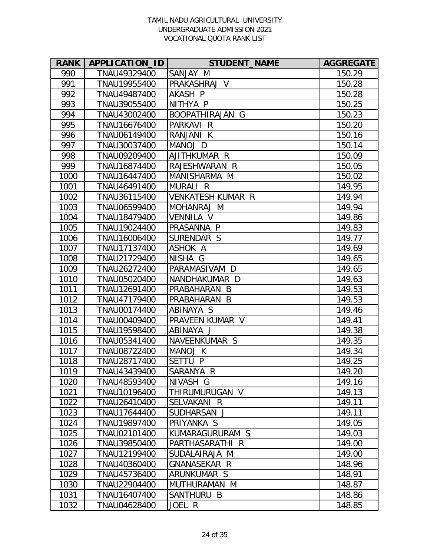| <b>RANK</b> | APPLICATION_ID | <b>STUDENT_NAME</b>      | <b>AGGREGATE</b> |
|-------------|----------------|--------------------------|------------------|
| 990         | TNAU49329400   | SANJAY M                 | 150.29           |
| 991         | TNAU19955400   | PRAKASHRAJ V             | 150.28           |
| 992         | TNAU49487400   | AKASH P                  | 150.28           |
| 993         | TNAU39055400   | NITHYA P                 | 150.25           |
| 994         | TNAU43002400   | BOOPATHIRAJAN G          | 150.23           |
| 995         | TNAU16676400   | PARKAVI R                | 150.20           |
| 996         | TNAU06149400   | RANJANI K                | 150.16           |
| 997         | TNAU30037400   | MANOJ D                  | 150.14           |
| 998         | TNAU09209400   | AJITHKUMAR R             | 150.09           |
| 999         | TNAU16874400   | RAJESHWARAN R            | 150.05           |
| 1000        | TNAU16447400   | MANISHARMA M             | 150.02           |
| 1001        | TNAU46491400   | MURALI R                 | 149.95           |
| 1002        | TNAU36115400   | <b>VENKATESH KUMAR R</b> | 149.94           |
| 1003        | TNAU06599400   | MOHANRAJ M               | 149.94           |
| 1004        | TNAU18479400   | VENNILA V                | 149.86           |
| 1005        | TNAU19024400   | PRASANNA P               | 149.83           |
| 1006        | TNAU16006400   | SURENDAR S               | 149.77           |
| 1007        | TNAU17137400   | ASHOK A                  | 149.69           |
| 1008        | TNAU21729400   | NISHA G                  | 149.65           |
| 1009        | TNAU26272400   | PARAMASIVAM D            | 149.65           |
| 1010        | TNAU05020400   | NANDHAKUMAR D            | 149.63           |
| 1011        | TNAU12691400   | PRABAHARAN B             | 149.53           |
| 1012        | TNAU47179400   | PRABAHARAN<br>B          | 149.53           |
| 1013        | TNAU00174400   | ABINAYA S                | 149.46           |
| 1014        | TNAU00409400   | PRAVEEN KUMAR V          | 149.41           |
| 1015        | TNAU19598400   | ABINAYA J                | 149.38           |
| 1016        | TNAU05341400   | NAVEENKUMAR S            | 149.35           |
| 1017        | TNAU08722400   | MANOJ K                  | 149.34           |
| 1018        | TNAU28717400   | SETTU P                  | 149.25           |
| 1019        | TNAU43439400   | SARANYA R                | 149.20           |
| 1020        | TNAU48593400   | NIVASH G                 | 149.16           |
| 1021        | TNAU10196400   | THIRUMURUGAN V           | 149.13           |
| 1022        | TNAU26410400   | SELVAKANI R              | 149.11           |
| 1023        | TNAU17644400   | SUDHARSAN J              | 149.11           |
| 1024        | TNAU19897400   | PRIYANKA S               | 149.05           |
| 1025        | TNAU02101400   | KUMARAGURURAM S          | 149.03           |
| 1026        | TNAU39850400   | PARTHASARATHI R          | 149.00           |
| 1027        | TNAU12199400   | SUDALAIRAJA M            | 149.00           |
| 1028        | TNAU40360400   | GNANASEKAR R             | 148.96           |
| 1029        | TNAU45736400   | ARUNKUMAR S              | 148.91           |
| 1030        | TNAU22904400   | MUTHURAMAN M             | 148.87           |
| 1031        | TNAU16407400   | SANTHURU B               | 148.86           |
| 1032        | TNAU04628400   | JOEL R                   | 148.85           |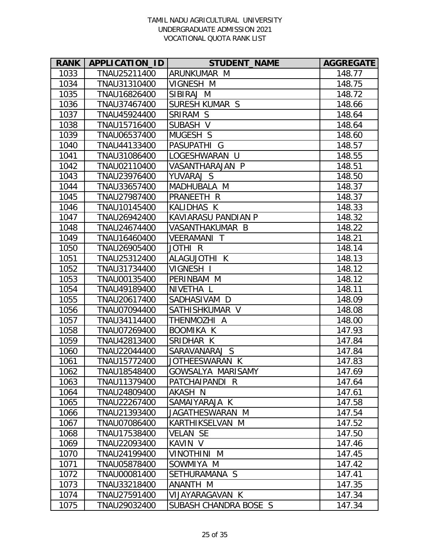| <b>RANK</b> | APPLICATION_ID | <b>STUDENT NAME</b>   | <b>AGGREGATE</b> |
|-------------|----------------|-----------------------|------------------|
| 1033        | TNAU25211400   | ARUNKUMAR M           | 148.77           |
| 1034        | TNAU31310400   | VIGNESH M             | 148.75           |
| 1035        | TNAU16826400   | SIBIRAJ M             | 148.72           |
| 1036        | TNAU37467400   | SURESH KUMAR S        | 148.66           |
| 1037        | TNAU45924400   | SRIRAM S              | 148.64           |
| 1038        | TNAU15716400   | SUBASH V              | 148.64           |
| 1039        | TNAU06537400   | MUGESH S              | 148.60           |
| 1040        | TNAU44133400   | PASUPATHI G           | 148.57           |
| 1041        | TNAU31086400   | LOGESHWARAN U         | 148.55           |
| 1042        | TNAU02110400   | VASANTHARAJAN P       | 148.51           |
| 1043        | TNAU23976400   | YUVARAJ S             | 148.50           |
| 1044        | TNAU33657400   | MADHUBALA M           | 148.37           |
| 1045        | TNAU27987400   | PRANEETH R            | 148.37           |
| 1046        | TNAU10145400   | KALIDHAS K            | 148.33           |
| 1047        | TNAU26942400   | KAVIARASU PANDIAN P   | 148.32           |
| 1048        | TNAU24674400   | VASANTHAKUMAR B       | 148.22           |
| 1049        | TNAU16460400   | <b>VEERAMANI T</b>    | 148.21           |
| 1050        | TNAU26905400   | JOTHI R               | 148.14           |
| 1051        | TNAU25312400   | ALAGUJOTHI K          | 148.13           |
| 1052        | TNAU31734400   | VIGNESH I             | 148.12           |
| 1053        | TNAU00135400   | PERINBAM M            | 148.12           |
| 1054        | TNAU49189400   | NIVETHA L             | 148.11           |
| 1055        | TNAU20617400   | SADHASIVAM D          | 148.09           |
| 1056        | TNAU07094400   | SATHISHKUMAR V        | 148.08           |
| 1057        | TNAU34114400   | THENMOZHI A           | 148.00           |
| 1058        | TNAU07269400   | <b>BOOMIKA K</b>      | 147.93           |
| 1059        | TNAU42813400   | SRIDHAR K             | 147.84           |
| 1060        | TNAU22044400   | SARAVANARAJ S         | 147.84           |
| 1061        | TNAU15772400   | JOTHEESWARAN K        | 147.83           |
| 1062        | TNAU18548400   | GOWSALYA MARISAMY     | 147.69           |
| 1063        | TNAU11379400   | PATCHAIPANDI R        | 147.64           |
| 1064        | TNAU24809400   | AKASH N               | 147.61           |
| 1065        | TNAU22267400   | SAMAIYARAJA K         | 147.58           |
| 1066        | TNAU21393400   | JAGATHESWARAN M       | 147.54           |
| 1067        | TNAU07086400   | KARTHIKSELVAN M       | 147.52           |
| 1068        | TNAU17538400   | <b>VELAN SE</b>       | 147.50           |
| 1069        | TNAU22093400   | KAVIN <sub>V</sub>    | 147.46           |
| 1070        | TNAU24199400   | <b>N INIHTONIV</b>    | 147.45           |
| 1071        | TNAU05878400   | SOWMIYA M             | 147.42           |
| 1072        | TNAU00081400   | SETHURAMANA S         | 147.41           |
| 1073        | TNAU33218400   | ANANTH M              | 147.35           |
| 1074        | TNAU27591400   | VIJAYARAGAVAN K       | 147.34           |
| 1075        | TNAU29032400   | SUBASH CHANDRA BOSE S | 147.34           |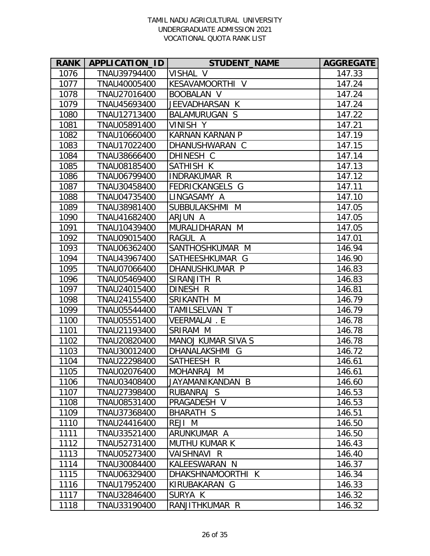| <b>RANK</b> | APPLICATION_ID | <b>STUDENT_NAME</b>       | <b>AGGREGATE</b> |
|-------------|----------------|---------------------------|------------------|
| 1076        | TNAU39794400   | VISHAL V                  | 147.33           |
| 1077        | TNAU40005400   | KESAVAMOORTHI V           | 147.24           |
| 1078        | TNAU27016400   | <b>BOOBALAN V</b>         | 147.24           |
| 1079        | TNAU45693400   | JEEVADHARSAN K            | 147.24           |
| 1080        | TNAU12713400   | <b>BALAMURUGAN S</b>      | 147.22           |
| 1081        | TNAU05891400   | <b>VINISH Y</b>           | 147.21           |
| 1082        | TNAU10660400   | <b>KARNAN KARNAN P</b>    | 147.19           |
| 1083        | TNAU17022400   | DHANUSHWARAN C            | 147.15           |
| 1084        | TNAU38666400   | DHINESH C                 | 147.14           |
| 1085        | TNAU08185400   | SATHISH K                 | 147.13           |
| 1086        | TNAU06799400   | INDRAKUMAR R              | 147.12           |
| 1087        | TNAU30458400   | FEDRICKANGELS G           | 147.11           |
| 1088        | TNAU04735400   | LINGASAMY A               | 147.10           |
| 1089        | TNAU38981400   | SUBBULAKSHMI M            | 147.05           |
| 1090        | TNAU41682400   | ARJUN A                   | 147.05           |
| 1091        | TNAU10439400   | MURALIDHARAN M            | 147.05           |
| 1092        | TNAU09015400   | RAGUL A                   | 147.01           |
| 1093        | TNAU06362400   | SANTHOSHKUMAR M           | 146.94           |
| 1094        | TNAU43967400   | SATHEESHKUMAR G           | 146.90           |
| 1095        | TNAU07066400   | DHANUSHKUMAR P            | 146.83           |
| 1096        | TNAU05469400   | SIRANJITH R               | 146.83           |
| 1097        | TNAU24015400   | DINESH R                  | 146.81           |
| 1098        | TNAU24155400   | SRIKANTH M                | 146.79           |
| 1099        | TNAU05544400   | TAMILSELVAN T             | 146.79           |
| 1100        | TNAU05551400   | VEERMALAI. E              | 146.78           |
| 1101        | TNAU21193400   | SRIRAM M                  | 146.78           |
| 1102        | TNAU20820400   | <b>MANOJ KUMAR SIVA S</b> | 146.78           |
| 1103        | TNAU30012400   | DHANALAKSHMI G            | 146.72           |
| 1104        | TNAU22298400   | SATHEESH R                | 146.61           |
| 1105        | TNAU02076400   | MOHANRAJ M                | 146.61           |
| 1106        | TNAU03408400   | JAYAMANIKANDAN B          | 146.60           |
| 1107        | TNAU27398400   | RUBANRAJ S                | 146.53           |
| 1108        | TNAU08531400   | PRAGADESH V               | 146.53           |
| 1109        | TNAU37368400   | BHARATH S                 | 146.51           |
| 1110        | TNAU24416400   | REJI M                    | 146.50           |
| 1111        | TNAU33521400   | ARUNKUMAR A               | 146.50           |
| 1112        | TNAU52731400   | <b>MUTHU KUMAR K</b>      | 146.43           |
| 1113        | TNAU05273400   | VAISHNAVI R               | 146.40           |
| 1114        | TNAU30084400   | KALEESWARAN N             | 146.37           |
| 1115        | TNAU06329400   | DHAKSHNAMOORTHI K         | 146.34           |
| 1116        | TNAU17952400   | KIRUBAKARAN G             | 146.33           |
| 1117        | TNAU32846400   | SURYA K                   | 146.32           |
| 1118        | TNAU33190400   | RANJITHKUMAR R            | 146.32           |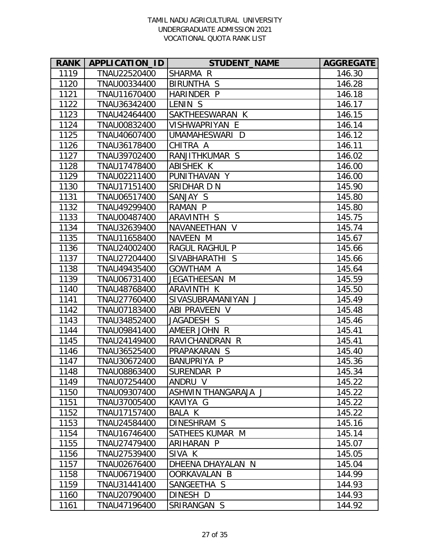| <b>RANK</b> | APPLICATION_ID | <b>STUDENT_NAME</b> | <b>AGGREGATE</b> |
|-------------|----------------|---------------------|------------------|
| 1119        | TNAU22520400   | SHARMA R            | 146.30           |
| 1120        | TNAU00334400   | <b>BIRUNTHA S</b>   | 146.28           |
| 1121        | TNAU11670400   | HARINDER P          | 146.18           |
| 1122        | TNAU36342400   | LENIN <sub>S</sub>  | 146.17           |
| 1123        | TNAU42464400   | SAKTHEESWARAN K     | 146.15           |
| 1124        | TNAU00832400   | VISHWAPRIYAN E      | 146.14           |
| 1125        | TNAU40607400   | UMAMAHESWARI D      | 146.12           |
| 1126        | TNAU36178400   | CHITRA A            | 146.11           |
| 1127        | TNAU39702400   | RANJITHKUMAR S      | 146.02           |
| 1128        | TNAU17478400   | ABISHEK K           | 146.00           |
| 1129        | TNAU02211400   | PUNITHAVAN Y        | 146.00           |
| 1130        | TNAU17151400   | SRIDHAR D N         | 145.90           |
| 1131        | TNAU06517400   | SANJAY S            | 145.80           |
| 1132        | TNAU49299400   | RAMAN P             | 145.80           |
| 1133        | TNAU00487400   | ARAVINTH S          | 145.75           |
| 1134        | TNAU32639400   | NAVANEETHAN V       | 145.74           |
| 1135        | TNAU11658400   | NAVEEN M            | 145.67           |
| 1136        | TNAU24002400   | RAGUL RAGHUL P      | 145.66           |
| 1137        | TNAU27204400   | SIVABHARATHI S      | 145.66           |
| 1138        | TNAU49435400   | <b>GOWTHAM A</b>    | 145.64           |
| 1139        | TNAU06731400   | JEGATHEESAN M       | 145.59           |
| 1140        | TNAU48768400   | ARAVINTH K          | 145.50           |
| 1141        | TNAU27760400   | SIVASUBRAMANIYAN J  | 145.49           |
| 1142        | TNAU07183400   | ABI PRAVEEN V       | 145.48           |
| 1143        | TNAU34852400   | JAGADESH S          | 145.46           |
| 1144        | TNAU09841400   | AMEER JOHN R        | 145.41           |
| 1145        | TNAU24149400   | RAVICHANDRAN R      | 145.41           |
| 1146        | TNAU36525400   | PRAPAKARAN S        | 145.40           |
| 1147        | TNAU30672400   | BANUPRIYA P         | 145.36           |
| 1148        | TNAU08863400   | SURENDAR P          | 145.34           |
| 1149        | TNAU07254400   | ANDRU V             | 145.22           |
| 1150        | TNAU09307400   | ASHWIN THANGARAJA J | 145.22           |
| 1151        | TNAU37005400   | KAVIYA G            | 145.22           |
| 1152        | TNAU17157400   | <b>BALA K</b>       | 145.22           |
| 1153        | TNAU24584400   | DINESHRAM S         | 145.16           |
| 1154        | TNAU16746400   | SATHEES KUMAR M     | 145.14           |
| 1155        | TNAU27479400   | ARIHARAN P          | 145.07           |
| 1156        | TNAU27539400   | SIVA K              | 145.05           |
| 1157        | TNAU02676400   | DHEENA DHAYALAN N   | 145.04           |
| 1158        | TNAU06719400   | OORKAVALAN B        | 144.99           |
| 1159        | TNAU31441400   | SANGEETHA S         | 144.93           |
| 1160        | TNAU20790400   | DINESH D            | 144.93           |
| 1161        | TNAU47196400   | SRIRANGAN S         | 144.92           |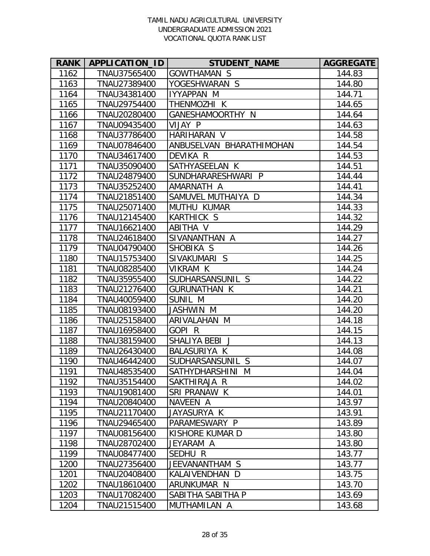| <b>RANK</b> | APPLICATION_ID | <b>STUDENT NAME</b>      | <b>AGGREGATE</b> |
|-------------|----------------|--------------------------|------------------|
| 1162        | TNAU37565400   | <b>GOWTHAMAN S</b>       | 144.83           |
| 1163        | TNAU27389400   | YOGESHWARAN S            | 144.80           |
| 1164        | TNAU34381400   | IYYAPPAN M               | 144.71           |
| 1165        | TNAU29754400   | THENMOZHI K              | 144.65           |
| 1166        | TNAU20280400   | GANESHAMOORTHY N         | 144.64           |
| 1167        | TNAU09435400   | VIJAY P                  | 144.63           |
| 1168        | TNAU37786400   | HARIHARAN V              | 144.58           |
| 1169        | TNAU07846400   | ANBUSELVAN BHARATHIMOHAN | 144.54           |
| 1170        | TNAU34617400   | DEVIKA R                 | 144.53           |
| 1171        | TNAU35090400   | SATHYASEELAN K           | 144.51           |
| 1172        | TNAU24879400   | SUNDHARARESHWARI P       | 144.44           |
| 1173        | TNAU35252400   | AMARNATH A               | 144.41           |
| 1174        | TNAU21851400   | SAMUVEL MUTHAIYA D       | 144.34           |
| 1175        | TNAU25071400   | <b>MUTHU KUMAR</b>       | 144.33           |
| 1176        | TNAU12145400   | <b>KARTHICK S</b>        | 144.32           |
| 1177        | TNAU16621400   | ABITHA V                 | 144.29           |
| 1178        | TNAU24618400   | SIVANANTHAN A            | 144.27           |
| 1179        | TNAU04790400   | SHOBIKA S                | 144.26           |
| 1180        | TNAU15753400   | SIVAKUMARI S             | 144.25           |
| 1181        | TNAU08285400   | VIKRAM K                 | 144.24           |
| 1182        | TNAU35955400   | SUDHARSANSUNIL S         | 144.22           |
| 1183        | TNAU21276400   | <b>GURUNATHAN K</b>      | 144.21           |
| 1184        | TNAU40059400   | SUNIL M                  | 144.20           |
| 1185        | TNAU08193400   | JASHWIN M                | 144.20           |
| 1186        | TNAU25158400   | ARIVALAHAN M             | 144.18           |
| 1187        | TNAU16958400   | GOPI <sub>R</sub>        | 144.15           |
| 1188        | TNAU38159400   | SHALIYA BEBI J           | 144.13           |
| 1189        | TNAU26430400   | <b>BALASURIYA K</b>      | 144.08           |
| 1190        | TNAU46442400   | SUDHARSANSUNIL S         | 144.07           |
| 1191        | TNAU48535400   | SATHYDHARSHINI M         | 144.04           |
| 1192        | TNAU35154400   | SAKTHIRAJA R             | 144.02           |
| 1193        | TNAU19081400   | SRI PRANAW K             | 144.01           |
| 1194        | TNAU20840400   | NAVEEN A                 | 143.97           |
| 1195        | TNAU21170400   | JAYASURYA K              | 143.91           |
| 1196        | TNAU29465400   | PARAMESWARY P            | 143.89           |
| 1197        | TNAU08156400   | KISHORE KUMAR D          | 143.80           |
| 1198        | TNAU28702400   | JEYARAM A                | 143.80           |
| 1199        | TNAU08477400   | SEDHU R                  | 143.77           |
| 1200        | TNAU27356400   | JEEVANANTHAM S           | 143.77           |
| 1201        | TNAU20408400   | KALAIVENDHAN D           | 143.75           |
| 1202        | TNAU18610400   | ARUNKUMAR N              | 143.70           |
| 1203        | TNAU17082400   | SABITHA SABITHA P        | 143.69           |
| 1204        | TNAU21515400   | MUTHAMILAN A             | 143.68           |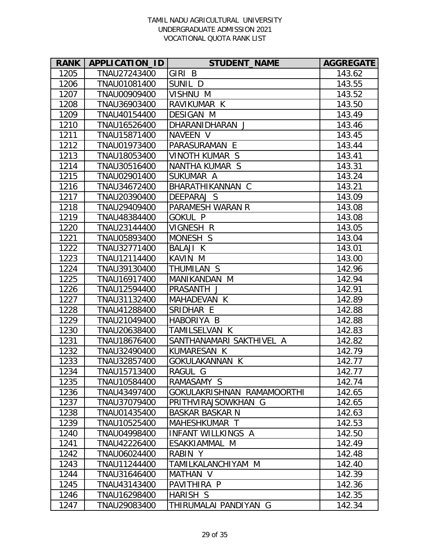| <b>RANK</b> | APPLICATION_ID | <b>STUDENT_NAME</b>        | <b>AGGREGATE</b> |
|-------------|----------------|----------------------------|------------------|
| 1205        | TNAU27243400   | GIRI B                     | 143.62           |
| 1206        | TNAU01081400   | SUNIL D                    | 143.55           |
| 1207        | TNAU00909400   | VISHNU M                   | 143.52           |
| 1208        | TNAU36903400   | RAVIKUMAR K                | 143.50           |
| 1209        | TNAU40154400   | <b>DESIGAN M</b>           | 143.49           |
| 1210        | TNAU16526400   | DHARANIDHARAN J            | 143.46           |
| 1211        | TNAU15871400   | NAVEEN V                   | 143.45           |
| 1212        | TNAU01973400   | PARASURAMAN E              | 143.44           |
| 1213        | TNAU18053400   | VINOTH KUMAR S             | 143.41           |
| 1214        | TNAU30516400   | NANTHA KUMAR S             | 143.31           |
| 1215        | TNAU02901400   | SUKUMAR A                  | 143.24           |
| 1216        | TNAU34672400   | BHARATHIKANNAN C           | 143.21           |
| 1217        | TNAU20390400   | DEEPARAJ S                 | 143.09           |
| 1218        | TNAU29409400   | PARAMESH WARAN R           | 143.08           |
| 1219        | TNAU48384400   | <b>GOKUL P</b>             | 143.08           |
| 1220        | TNAU23144400   | VIGNESH R                  | 143.05           |
| 1221        | TNAU05893400   | MONESH S                   | 143.04           |
| 1222        | TNAU32771400   | BALAJI K                   | 143.01           |
| 1223        | TNAU12114400   | KAVIN M                    | 143.00           |
| 1224        | TNAU39130400   | THUMILAN S                 | 142.96           |
| 1225        | TNAU16917400   | MANIKANDAN M               | 142.94           |
| 1226        | TNAU12594400   | PRASANTH J                 | 142.91           |
| 1227        | TNAU31132400   | MAHADEVAN K                | 142.89           |
| 1228        | TNAU41288400   | SRIDHAR E                  | 142.88           |
| 1229        | TNAU21049400   | HABORIYA B                 | 142.88           |
| 1230        | TNAU20638400   | TAMILSELVAN K              | 142.83           |
| 1231        | TNAU18676400   | SANTHANAMARI SAKTHIVEL A   | 142.82           |
| 1232        | TNAU32490400   | <b>KUMARESAN K</b>         | 142.79           |
| 1233        | TNAU32857400   | GOKULAKANNAN K             | 142.77           |
| 1234        | TNAU15713400   | RAGUL G                    | 142.77           |
| 1235        | TNAU10584400   | RAMASAMY S                 | 142.74           |
| 1236        | TNAU43497400   | GOKULAKRISHNAN RAMAMOORTHI | 142.65           |
| 1237        | TNAU37079400   | PRITHVIRAJSOWKHAN G        | 142.65           |
| 1238        | TNAU01435400   | BASKAR BASKAR N            | 142.63           |
| 1239        | TNAU10525400   | MAHESHKUMAR T              | 142.53           |
| 1240        | TNAU04998400   | <b>INFANT WILLKINGS A</b>  | 142.50           |
| 1241        | TNAU42226400   | ESAKKIAMMAL M              | 142.49           |
| 1242        | TNAU06024400   | RABIN Y                    | 142.48           |
| 1243        | TNAU11244400   | TAMILKALANCHIYAM M         | 142.40           |
| 1244        | TNAU31646400   | MATHAN V                   | 142.39           |
| 1245        | TNAU43143400   | PAVITHIRA P                | 142.36           |
| 1246        | TNAU16298400   | HARISH S                   | 142.35           |
| 1247        | TNAU29083400   | THIRUMALAI PANDIYAN G      | 142.34           |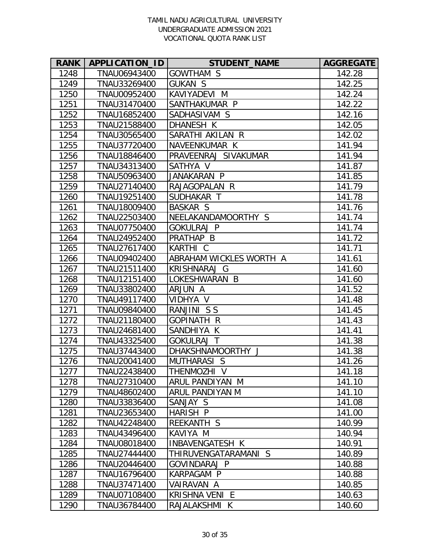| <b>RANK</b> | APPLICATION_ID | <b>STUDENT_NAME</b>     | <b>AGGREGATE</b> |
|-------------|----------------|-------------------------|------------------|
| 1248        | TNAU06943400   | <b>GOWTHAM S</b>        | 142.28           |
| 1249        | TNAU33269400   | <b>GUKAN S</b>          | 142.25           |
| 1250        | TNAU00952400   | KAVIYADEVI M            | 142.24           |
| 1251        | TNAU31470400   | SANTHAKUMAR P           | 142.22           |
| 1252        | TNAU16852400   | SADHASIVAM S            | 142.16           |
| 1253        | TNAU21588400   | DHANESH K               | 142.05           |
| 1254        | TNAU30565400   | SARATHI AKILAN R        | 142.02           |
| 1255        | TNAU37720400   | NAVEENKUMAR K           | 141.94           |
| 1256        | TNAU18846400   | PRAVEENRAJ SIVAKUMAR    | 141.94           |
| 1257        | TNAU34313400   | SATHYA V                | 141.87           |
| 1258        | TNAU50963400   | JANAKARAN P             | 141.85           |
| 1259        | TNAU27140400   | RAJAGOPALAN R           | 141.79           |
| 1260        | TNAU19251400   | SUDHAKAR T              | 141.78           |
| 1261        | TNAU18009400   | BASKAR S                | 141.76           |
| 1262        | TNAU22503400   | NEELAKANDAMOORTHY S     | 141.74           |
| 1263        | TNAU07750400   | <b>GOKULRAJ P</b>       | 141.74           |
| 1264        | TNAU24952400   | PRATHAP B               | 141.72           |
| 1265        | TNAU27617400   | KARTHI C                | 141.71           |
| 1266        | TNAU09402400   | ABRAHAM WICKLES WORTH A | 141.61           |
| 1267        | TNAU21511400   | KRISHNARAJ<br>G         | 141.60           |
| 1268        | TNAU12151400   | LOKESHWARAN B           | 141.60           |
| 1269        | TNAU33802400   | ARJUN A                 | 141.52           |
| 1270        | TNAU49117400   | VIDHYA V                | 141.48           |
| 1271        | TNAU09840400   | RANJINI SS              | 141.45           |
| 1272        | TNAU21180400   | GOPINATH R              | 141.43           |
| 1273        | TNAU24681400   | SANDHIYA K              | 141.41           |
| 1274        | TNAU43325400   | <b>GOKULRAJ T</b>       | 141.38           |
| 1275        | TNAU37443400   | DHAKSHNAMOORTHY J       | 141.38           |
| 1276        | TNAU20041400   | <b>MUTHARASI S</b>      | 141.26           |
| 1277        | TNAU22438400   | THENMOZHI V             | 141.18           |
| 1278        | TNAU27310400   | ARUL PANDIYAN M         | 141.10           |
| 1279        | TNAU48602400   | ARUL PANDIYAN M         | 141.10           |
| 1280        | TNAU33836400   | SANJAY S                | 141.08           |
| 1281        | TNAU23653400   | HARISH P                | 141.00           |
| 1282        | TNAU42248400   | <b>REEKANTH S</b>       | 140.99           |
| 1283        | TNAU43496400   | KAVIYA M                | 140.94           |
| 1284        | TNAU08018400   | INBAVENGATESH K         | 140.91           |
| 1285        | TNAU27444400   | THIRUVENGATARAMANI S    | 140.89           |
| 1286        | TNAU20446400   | GOVINDARAJ P            | 140.88           |
| 1287        | TNAU16796400   | KARPAGAM P              | 140.88           |
| 1288        | TNAU37471400   | VAIRAVAN A              | 140.85           |
| 1289        | TNAU07108400   | KRISHNA VENI E          | 140.63           |
| 1290        | TNAU36784400   | RAJALAKSHMI K           | 140.60           |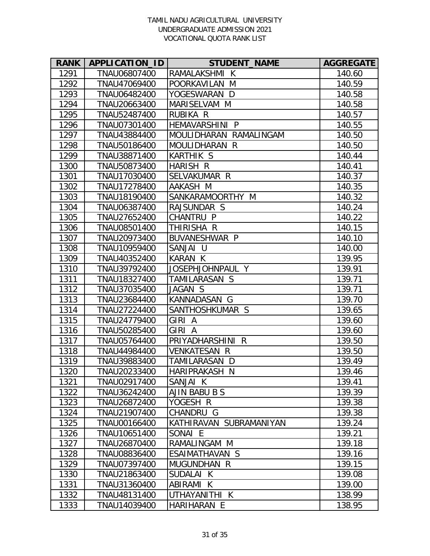| <b>RANK</b> | APPLICATION_ID | <b>STUDENT_NAME</b>     | <b>AGGREGATE</b> |
|-------------|----------------|-------------------------|------------------|
| 1291        | TNAU06807400   | RAMALAKSHMI K           | 140.60           |
| 1292        | TNAU47069400   | POORKAVILAN<br>M        | 140.59           |
| 1293        | TNAU06482400   | YOGESWARAN D            | 140.58           |
| 1294        | TNAU20663400   | MARISELVAM M            | 140.58           |
| 1295        | TNAU52487400   | RUBIKA R                | 140.57           |
| 1296        | TNAU07301400   | HEMAVARSHINI P          | 140.55           |
| 1297        | TNAU43884400   | MOULIDHARAN RAMALINGAM  | 140.50           |
| 1298        | TNAU50186400   | MOULIDHARAN R           | 140.50           |
| 1299        | TNAU38871400   | <b>KARTHIK S</b>        | 140.44           |
| 1300        | TNAU50873400   | HARISH R                | 140.41           |
| 1301        | TNAU17030400   | SELVAKUMAR R            | 140.37           |
| 1302        | TNAU17278400   | AAKASH M                | 140.35           |
| 1303        | TNAU18190400   | SANKARAMOORTHY M        | 140.32           |
| 1304        | TNAU06387400   | RAJSUNDAR S             | 140.24           |
| 1305        | TNAU27652400   | CHANTRU P               | 140.22           |
| 1306        | TNAU08501400   | THIRISHA R              | 140.15           |
| 1307        | TNAU20973400   | BUVANESHWAR P           | 140.10           |
| 1308        | TNAU10959400   | <b>SANJAI</b><br>- U    | 140.00           |
| 1309        | TNAU40352400   | <b>KARAN K</b>          | 139.95           |
| 1310        | TNAU39792400   | JOSEPHJOHNPAUL Y        | 139.91           |
| 1311        | TNAU18327400   | TAMILARASAN S           | 139.71           |
| 1312        | TNAU37035400   | JAGAN S                 | 139.71           |
| 1313        | TNAU23684400   | KANNADASAN G            | 139.70           |
| 1314        | TNAU27224400   | SANTHOSHKUMAR S         | 139.65           |
| 1315        | TNAU24779400   | GIRI A                  | 139.60           |
| 1316        | TNAU50285400   | GIRI A                  | 139.60           |
| 1317        | TNAU05764400   | PRIYADHARSHINI R        | 139.50           |
| 1318        | TNAU44984400   | <b>VENKATESAN R</b>     | 139.50           |
| 1319        | TNAU39883400   | TAMILARASAN D           | 139.49           |
| 1320        | TNAU20233400   | HARIPRAKASH N           | 139.46           |
| 1321        | TNAU02917400   | SANJAI K                | 139.41           |
| 1322        | TNAU36242400   | AJIN BABU B S           | 139.39           |
| 1323        | TNAU26872400   | YOGESH R                | 139.38           |
| 1324        | TNAU21907400   | CHANDRU G               | 139.38           |
| 1325        | TNAU00166400   | KATHIRAVAN SUBRAMANIYAN | 139.24           |
| 1326        | TNAU10651400   | SONAI E                 | 139.21           |
| 1327        | TNAU26870400   | RAMALINGAM M            | 139.18           |
| 1328        | TNAU08836400   | ESAIMATHAVAN S          | 139.16           |
| 1329        | TNAU07397400   | MUGUNDHAN R             | 139.15           |
| 1330        | TNAU21863400   | SUDALAI K               | 139.08           |
| 1331        | TNAU31360400   | ABIRAMI K               | 139.00           |
| 1332        | TNAU48131400   | UTHAYANITHI K           | 138.99           |
| 1333        | TNAU14039400   | HARIHARAN E             | 138.95           |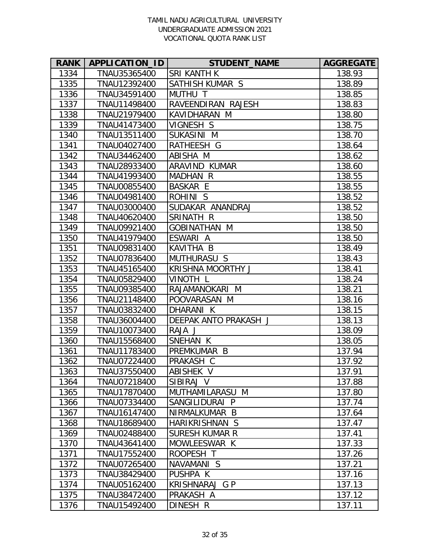| <b>RANK</b> | APPLICATION_ID | <b>STUDENT NAME</b>   | <b>AGGREGATE</b> |
|-------------|----------------|-----------------------|------------------|
| 1334        | TNAU35365400   | <b>SRI KANTH K</b>    | 138.93           |
| 1335        | TNAU12392400   | SATHISH KUMAR S       | 138.89           |
| 1336        | TNAU34591400   | MUTHU T               | 138.85           |
| 1337        | TNAU11498400   | RAVEENDIRAN RAJESH    | 138.83           |
| 1338        | TNAU21979400   | KAVIDHARAN M          | 138.80           |
| 1339        | TNAU41473400   | VIGNESH S             | 138.75           |
| 1340        | TNAU13511400   | SUKASINI M            | 138.70           |
| 1341        | TNAU04027400   | RATHEESH G            | 138.64           |
| 1342        | TNAU34462400   | ABISHA M              | 138.62           |
| 1343        | TNAU28933400   | ARAVIND KUMAR         | 138.60           |
| 1344        | TNAU41993400   | MADHAN R              | 138.55           |
| 1345        | TNAU00855400   | <b>BASKAR E</b>       | 138.55           |
| 1346        | TNAU04981400   | ROHINI S              | 138.52           |
| 1347        | TNAU03000400   | SUDAKAR ANANDRAJ      | 138.52           |
| 1348        | TNAU40620400   | SRINATH R             | 138.50           |
| 1349        | TNAU09921400   | GOBINATHAN M          | 138.50           |
| 1350        | TNAU41979400   | ESWARI A              | 138.50           |
| 1351        | TNAU09831400   | KAVITHA B             | 138.49           |
| 1352        | TNAU07836400   | MUTHURASU S           | 138.43           |
| 1353        | TNAU45165400   | KRISHNA MOORTHY J     | 138.41           |
| 1354        | TNAU05829400   | VINOTH L              | 138.24           |
| 1355        | TNAU09385400   | RAJAMANOKARI M        | 138.21           |
| 1356        | TNAU21148400   | POOVARASAN M          | 138.16           |
| 1357        | TNAU03832400   | DHARANI K             | 138.15           |
| 1358        | TNAU36004400   | DEEPAK ANTO PRAKASH J | 138.13           |
| 1359        | TNAU10073400   | RAJA J                | 138.09           |
| 1360        | TNAU15568400   | SNEHAN K              | 138.05           |
| 1361        | TNAU11783400   | PREMKUMAR B           | 137.94           |
| 1362        | TNAU07224400   | PRAKASH C             | 137.92           |
| 1363        | TNAU37550400   | ABISHEK V             | 137.91           |
| 1364        | TNAU07218400   | SIBIRAJ V             | 137.88           |
| 1365        | TNAU17870400   | MUTHAMILARASU M       | 137.80           |
| 1366        | TNAU07334400   | SANGILIDURAI P        | 137.74           |
| 1367        | TNAU16147400   | NIRMALKUMAR B         | 137.64           |
| 1368        | TNAU18689400   | HARIKRISHNAN S        | 137.47           |
| 1369        | TNAU02488400   | SURESH KUMAR R        | 137.41           |
| 1370        | TNAU43641400   | MOWLEESWAR K          | 137.33           |
| 1371        | TNAU17552400   | ROOPESH T             | 137.26           |
| 1372        | TNAU07265400   | NAVAMANI S            | 137.21           |
| 1373        | TNAU38429400   | PUSHPA K              | 137.16           |
| 1374        | TNAU05162400   | KRISHNARAJ G P        | 137.13           |
| 1375        | TNAU38472400   | PRAKASH A             | 137.12           |
| 1376        | TNAU15492400   | DINESH R              | 137.11           |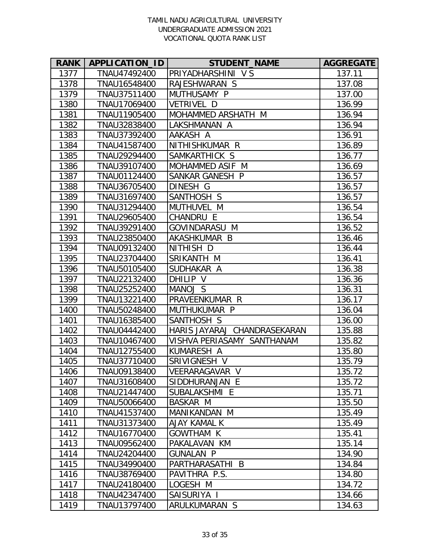| <b>RANK</b> | <b>APPLICATION ID</b> | <b>STUDENT_NAME</b>          | <b>AGGREGATE</b> |
|-------------|-----------------------|------------------------------|------------------|
| 1377        | TNAU47492400          | PRIYADHARSHINI V S           | 137.11           |
| 1378        | TNAU16548400          | RAJESHWARAN S                | 137.08           |
| 1379        | TNAU37511400          | MUTHUSAMY P                  | 137.00           |
| 1380        | TNAU17069400          | VETRIVEL D                   | 136.99           |
| 1381        | TNAU11905400          | MOHAMMED ARSHATH M           | 136.94           |
| 1382        | TNAU32838400          | LAKSHMANAN A                 | 136.94           |
| 1383        | TNAU37392400          | AAKASH A                     | 136.91           |
| 1384        | TNAU41587400          | NITHISHKUMAR R               | 136.89           |
| 1385        | TNAU29294400          | SAMKARTHICK S                | 136.77           |
| 1386        | TNAU39107400          | MOHAMMED ASIF M              | 136.69           |
| 1387        | TNAU01124400          | SANKAR GANESH P              | 136.57           |
| 1388        | TNAU36705400          | DINESH G                     | 136.57           |
| 1389        | TNAU31697400          | SANTHOSH S                   | 136.57           |
| 1390        | TNAU31294400          | MUTHUVEL M                   | 136.54           |
| 1391        | TNAU29605400          | CHANDRU E                    | 136.54           |
| 1392        | TNAU39291400          | GOVINDARASU M                | 136.52           |
| 1393        | TNAU23850400          | AKASHKUMAR B                 | 136.46           |
| 1394        | TNAU09132400          | NITHISH D                    | 136.44           |
| 1395        | TNAU23704400          | SRIKANTH M                   | 136.41           |
| 1396        | TNAU50105400          | SUDHAKAR A                   | 136.38           |
| 1397        | TNAU22132400          | DHILIP V                     | 136.36           |
| 1398        | TNAU25252400          | MANOJ S                      | 136.31           |
| 1399        | TNAU13221400          | PRAVEENKUMAR R               | 136.17           |
| 1400        | TNAU50248400          | MUTHUKUMAR P                 | 136.04           |
| 1401        | TNAU16385400          | SANTHOSH S                   | 136.00           |
| 1402        | TNAU04442400          | HARIS JAYARAJ CHANDRASEKARAN | 135.88           |
| 1403        | TNAU10467400          | VISHVA PERIASAMY SANTHANAM   | 135.82           |
| 1404        | TNAU12755400          | KUMARESH A                   | 135.80           |
| 1405        | TNAU37710400          | SRIVIGNESH V                 | 135.79           |
| 1406        | TNAU09138400          | VEERARAGAVAR V               | 135.72           |
| 1407        | TNAU31608400          | SIDDHURANJAN E               | 135.72           |
| 1408        | TNAU21447400          | SUBALAKSHMI E                | 135.71           |
| 1409        | TNAU50066400          | BASKAR M                     | 135.50           |
| 1410        | TNAU41537400          | MANIKANDAN M                 | 135.49           |
| 1411        | TNAU31373400          | <b>AJAY KAMAL K</b>          | 135.49           |
| 1412        | TNAU16770400          | GOWTHAM K                    | 135.41           |
| 1413        | TNAU09562400          | PAKALAVAN KM                 | 135.14           |
| 1414        | TNAU24204400          | <b>GUNALAN P</b>             | 134.90           |
| 1415        | TNAU34990400          | PARTHARASATHI B              | 134.84           |
| 1416        | TNAU38769400          | PAVITHRA P.S.                | 134.80           |
| 1417        | TNAU24180400          | LOGESH M                     | 134.72           |
| 1418        | TNAU42347400          | SAISURIYA I                  | 134.66           |
| 1419        | TNAU13797400          | ARULKUMARAN S                | 134.63           |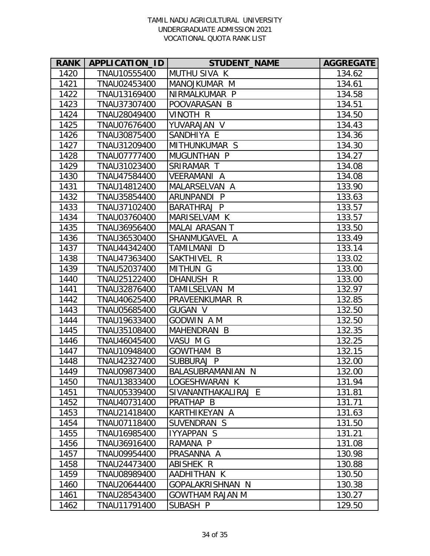| <b>RANK</b> | APPLICATION_ID | <b>STUDENT_NAME</b>             | <b>AGGREGATE</b> |
|-------------|----------------|---------------------------------|------------------|
| 1420        | TNAU10555400   | <b>MUTHU SIVA K</b>             | 134.62           |
| 1421        | TNAU02453400   | MANOJKUMAR M                    | 134.61           |
| 1422        | TNAU13169400   | NIRMALKUMAR P                   | 134.58           |
| 1423        | TNAU37307400   | POOVARASAN B                    | 134.51           |
| 1424        | TNAU28049400   | VINOTH R                        | 134.50           |
| 1425        | TNAU07676400   | YUVARAJAN V                     | 134.43           |
| 1426        | TNAU30875400   | SANDHIYA E                      | 134.36           |
| 1427        | TNAU31209400   | MITHUNKUMAR S                   | 134.30           |
| 1428        | TNAU07777400   | MUGUNTHAN P                     | 134.27           |
| 1429        | TNAU31023400   | SRIRAMAR T                      | 134.08           |
| 1430        | TNAU47584400   | VEERAMANI A                     | 134.08           |
| 1431        | TNAU14812400   | MALARSELVAN A                   | 133.90           |
| 1432        | TNAU35854400   | ARUNPANDI P                     | 133.63           |
| 1433        | TNAU37102400   | BARATHRAJ P                     | 133.57           |
| 1434        | TNAU03760400   | MARISELVAM K                    | 133.57           |
| 1435        | TNAU36956400   | <b>MALAI ARASAN T</b>           | 133.50           |
| 1436        | TNAU36530400   | SHANMUGAVEL A                   | 133.49           |
| 1437        | TNAU44342400   | TAMILMANI<br><sup>D</sup>       | 133.14           |
| 1438        | TNAU47363400   | SAKTHIVEL R                     | 133.02           |
| 1439        | TNAU52037400   | <b>MITHUN G</b>                 | 133.00           |
| 1440        | TNAU25122400   | DHANUSH R                       | 133.00           |
| 1441        | TNAU32876400   | TAMILSELVAN M                   | 132.97           |
| 1442        | TNAU40625400   | PRAVEENKUMAR R                  | 132.85           |
| 1443        | TNAU05685400   | <b>GUGAN V</b>                  | 132.50           |
| 1444        | TNAU19633400   | GODWIN A M                      | 132.50           |
| 1445        | TNAU35108400   | MAHENDRAN B                     | 132.35           |
| 1446        | TNAU46045400   | VASU M G                        | 132.25           |
| 1447        | TNAU10948400   | <b>GOWTHAM B</b>                | 132.15           |
| 1448        | TNAU42327400   | <b>SUBBURAJ</b><br>$\mathsf{P}$ | 132.00           |
| 1449        | TNAU09873400   | BALASUBRAMANIAN N               | 132.00           |
| 1450        | TNAU13833400   | LOGESHWARAN K                   | 131.94           |
| 1451        | TNAU05339400   | SIVANANTHAKALIRAJ E             | 131.81           |
| 1452        | TNAU40731400   | PRATHAP B                       | 131.71           |
| 1453        | TNAU21418400   | KARTHIKEYAN A                   | 131.63           |
| 1454        | TNAU07118400   | SUVENDRAN S                     | 131.50           |
| 1455        | TNAU16985400   | IYYAPPAN S                      | 131.21           |
| 1456        | TNAU36916400   | RAMANA P                        | 131.08           |
| 1457        | TNAU09954400   | PRASANNA A                      | 130.98           |
| 1458        | TNAU24473400   | ABISHEK R                       | 130.88           |
| 1459        | TNAU08989400   | AADHITHAN K                     | 130.50           |
| 1460        | TNAU20644400   | GOPALAKRISHNAN N                | 130.38           |
| 1461        | TNAU28543400   | GOWTHAM RAJAN M                 | 130.27           |
| 1462        | TNAU11791400   | SUBASH P                        | 129.50           |